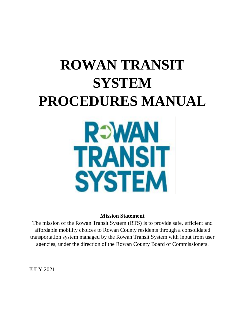# **ROWAN TRANSIT SYSTEM PROCEDURES MANUAL REWAN TRANSIT**

#### **Mission Statement**

**SYSTEM** 

The mission of the Rowan Transit System (RTS) is to provide safe, efficient and affordable mobility choices to Rowan County residents through a consolidated transportation system managed by the Rowan Transit System with input from user agencies, under the direction of the Rowan County Board of Commissioners.

JULY 2021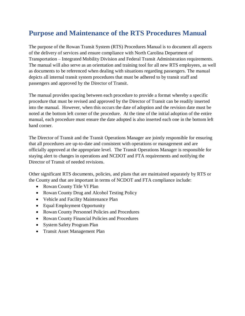# <span id="page-1-0"></span>**Purpose and Maintenance of the RTS Procedures Manual**

The purpose of the Rowan Transit System (RTS) Procedures Manual is to document all aspects of the delivery of services and ensure compliance with North Carolina Department of Transportation – Integrated Mobility Division and Federal Transit Administration requirements. The manual will also serve as an orientation and training tool for all new RTS employees, as well as documents to be referenced when dealing with situations regarding passengers. The manual depicts all internal transit system procedures that must be adhered to by transit staff and passengers and approved by the Director of Transit.

The manual provides spacing between each procedure to provide a format whereby a specific procedure that must be revised and approved by the Director of Transit can be readily inserted into the manual. However, when this occurs the date of adoption and the revision date must be noted at the bottom left corner of the procedure. At the time of the initial adoption of the entire manual, each procedure must ensure the date adopted is also inserted each one in the bottom left hand corner.

The Director of Transit and the Transit Operations Manager are jointly responsible for ensuring that all procedures are up-to-date and consistent with operations or management and are officially approved at the appropriate level. The Transit Operations Manager is responsible for staying alert to changes in operations and NCDOT and FTA requirements and notifying the Director of Transit of needed revisions.

Other significant RTS documents, policies, and plans that are maintained separately by RTS or the County and that are important in terms of NCDOT and FTA compliance include:

- Rowan County Title VI Plan
- Rowan County Drug and Alcohol Testing Policy
- Vehicle and Facility Maintenance Plan
- Equal Employment Opportunity
- Rowan County Personnel Policies and Procedures
- Rowan County Financial Policies and Procedures
- System Safety Program Plan
- Transit Asset Management Plan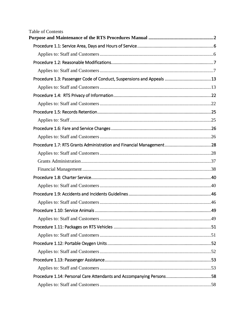| <b>Table of Contents</b>                                              |  |
|-----------------------------------------------------------------------|--|
|                                                                       |  |
|                                                                       |  |
|                                                                       |  |
|                                                                       |  |
| Procedure 1.3: Passenger Code of Conduct, Suspensions and Appeals  13 |  |
|                                                                       |  |
|                                                                       |  |
|                                                                       |  |
|                                                                       |  |
|                                                                       |  |
|                                                                       |  |
|                                                                       |  |
|                                                                       |  |
|                                                                       |  |
|                                                                       |  |
|                                                                       |  |
|                                                                       |  |
|                                                                       |  |
|                                                                       |  |
|                                                                       |  |
|                                                                       |  |
|                                                                       |  |
|                                                                       |  |
|                                                                       |  |
|                                                                       |  |
|                                                                       |  |
|                                                                       |  |
|                                                                       |  |
| Procedure 1.14: Personal Care Attendants and Accompanying Persons58   |  |
|                                                                       |  |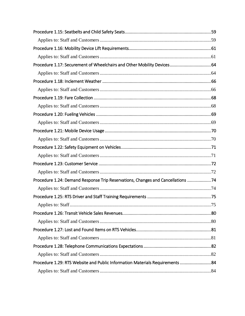| Procedure 1.17: Securement of Wheelchairs and Other Mobility Devices64          |  |
|---------------------------------------------------------------------------------|--|
|                                                                                 |  |
|                                                                                 |  |
|                                                                                 |  |
|                                                                                 |  |
|                                                                                 |  |
|                                                                                 |  |
|                                                                                 |  |
|                                                                                 |  |
|                                                                                 |  |
|                                                                                 |  |
|                                                                                 |  |
|                                                                                 |  |
|                                                                                 |  |
| Procedure 1.24: Demand Response Trip Reservations, Changes and Cancellations 74 |  |
|                                                                                 |  |
|                                                                                 |  |
|                                                                                 |  |
|                                                                                 |  |
|                                                                                 |  |
|                                                                                 |  |
|                                                                                 |  |
|                                                                                 |  |
|                                                                                 |  |
| Procedure 1.29: RTS Website and Public Information Materials Requirements  84   |  |
|                                                                                 |  |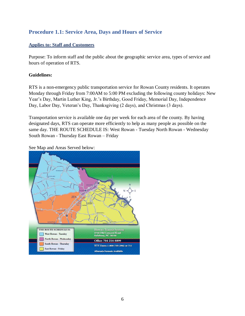# <span id="page-5-0"></span>**Procedure 1.1: Service Area, Days and Hours of Service**

#### <span id="page-5-1"></span>**Applies to: Staff and Customers**

Purpose: To inform staff and the public about the geographic service area, types of service and hours of operation of RTS.

#### **Guidelines:**

RTS is a non-emergency public transportation service for Rowan County residents. It operates Monday through Friday from 7:00AM to 5:00 PM excluding the following county holidays: New Year's Day, Martin Luther King, Jr.'s Birthday, Good Friday, Memorial Day, Independence Day, Labor Day, Veteran's Day, Thanksgiving (2 days), and Christmas (3 days).

Transportation service is available one day per week for each area of the county. By having designated days, RTS can operate more efficiently to help as many people as possible on the same day. THE ROUTE SCHEDULE IS: West Rowan - Tuesday North Rowan - Wednesday South Rowan - Thursday East Rowan – Friday

See Map and Areas Served below:

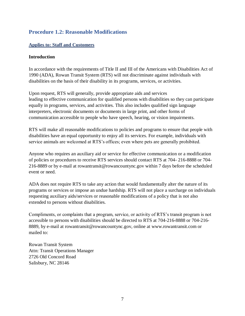# <span id="page-6-0"></span>**Procedure 1.2: Reasonable Modifications**

#### <span id="page-6-1"></span>**Applies to: Staff and Customers**

#### **Introduction**

In accordance with the requirements of Title II and III of the Americans with Disabilities Act of 1990 (ADA), Rowan Transit System (RTS) will not discriminate against individuals with disabilities on the basis of their disability in its programs, services, or activities.

Upon request, RTS will generally, provide appropriate aids and services leading to effective communication for qualified persons with disabilities so they can participate equally in programs, services, and activities. This also includes qualified sign language interpreters, electronic documents or documents in large print, and other forms of communication accessible to people who have speech, hearing, or vision impairments.

RTS will make all reasonable modifications to policies and programs to ensure that people with disabilities have an equal opportunity to enjoy all its services. For example, individuals with service animals are welcomed at RTS's offices; even where pets are generally prohibited.

Anyone who requires an auxiliary aid or service for effective communication or a modification of policies or procedures to receive RTS services should contact RTS at 704- 216-8888 or 704- 216-8889 or by e-mail at rowantransit@rowancountync.gov within 7 days before the scheduled event or need.

ADA does not require RTS to take any action that would fundamentally alter the nature of its programs or services or impose an undue hardship. RTS will not place a surcharge on individuals requesting auxiliary aids/services or reasonable modifications of a policy that is not also extended to persons without disabilities.

Compliments, or complaints that a program, service, or activity of RTS's transit program is not accessible to persons with disabilities should be directed to RTS at 704-216-8888 or 704-216- 8889, by e-mail at rowantransit@rowancountync.gov, online at www.rowantransit.com or mailed to:

Rowan Transit System Attn: Transit Operations Manager 2726 Old Concord Road Salisbury, NC 28146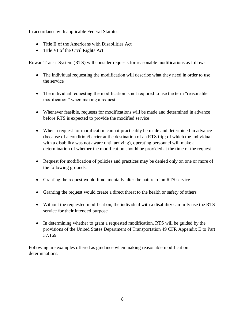In accordance with applicable Federal Statutes:

- Title II of the Americans with Disabilities Act
- Title VI of the Civil Rights Act

Rowan Transit System (RTS) will consider requests for reasonable modifications as follows:

- The individual requesting the modification will describe what they need in order to use the service
- The individual requesting the modification is not required to use the term "reasonable" modification" when making a request
- Whenever feasible, requests for modifications will be made and determined in advance before RTS is expected to provide the modified service
- When a request for modification cannot practicably be made and determined in advance (because of a condition/barrier at the destination of an RTS trip; of which the individual with a disability was not aware until arriving), operating personnel will make a determination of whether the modification should be provided at the time of the request
- Request for modification of policies and practices may be denied only on one or more of the following grounds:
- Granting the request would fundamentally alter the nature of an RTS service
- Granting the request would create a direct threat to the health or safety of others
- Without the requested modification, the individual with a disability can fully use the RTS service for their intended purpose
- In determining whether to grant a requested modification, RTS will be guided by the provisions of the United States Department of Transportation 49 CFR Appendix E to Part 37.169

Following are examples offered as guidance when making reasonable modification determinations.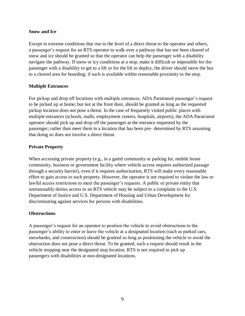#### **Snow and Ice**

Except in extreme conditions that rise to the level of a direct threat to the operator and others, a passenger's request for an RTS operator to walk over a pathway that has not been cleared of snow and ice should be granted so that the operator can help the passenger with a disability navigate the pathway. If snow or icy conditions at a stop, make it difficult or impossible for the passenger with a disability to get to a lift or for the lift to deploy, the driver should move the bus to a cleared area for boarding; if such is available within reasonable proximity to the stop.

#### **Multiple Entrances**

For pickup and drop off locations with multiple entrances, ADA Paratransit passenger's request to be picked up at home; but not at the front door, should be granted as long as the requested pickup location does not pose a threat. In the case of frequently visited public places with multiple entrances (schools, malls, employment centers, hospitals, airports), the ADA Paratransit operator should pick up and drop off the passenger at the entrance requested by the passenger; rather than meet them in a location that has been pre- determined by RTS assuming that doing so does not involve a direct threat.

#### **Private Property**

When accessing private property (e.g., in a gated community or parking lot, mobile home community, business or government facility where vehicle access requires authorized passage through a security barrier), even if it requires authorization, RTS will make every reasonable effort to gain access to such property. However, the operator is not required to violate the law or lawful access restrictions to meet the passenger's requests. A public or private entity that unreasonably denies access to an RTS vehicle may be subject to a complaint to the U.S. Department of Justice and U.S. Department of Housing and Urban Development for discriminating against services for persons with disabilities.

#### **Obstructions**

A passenger's request for an operator to position the vehicle to avoid obstructions to the passenger's ability to enter or leave the vehicle at a designated location (such as parked cars, snowbanks, and construction) should be granted so long as positioning the vehicle to avoid the obstruction does not pose a direct threat. To be granted, such a request should result in the vehicle stopping near the designated stop location. RTS is not required to pick up passengers with disabilities at non-designated locations.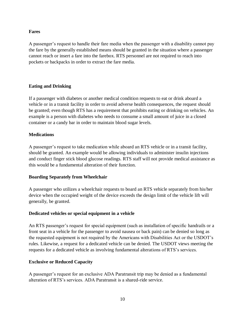#### **Fares**

A passenger's request to handle their fare media when the passenger with a disability cannot pay the fare by the generally established means should be granted in the situation where a passenger cannot reach or insert a fare into the farebox. RTS personnel are not required to reach into pockets or backpacks in order to extract the fare media.

#### **Eating and Drinking**

If a passenger with diabetes or another medical condition requests to eat or drink aboard a vehicle or in a transit facility in order to avoid adverse health consequences, the request should be granted; even though RTS has a requirement that prohibits eating or drinking on vehicles. An example is a person with diabetes who needs to consume a small amount of juice in a closed container or a candy bar in order to maintain blood sugar levels.

#### **Medications**

A passenger's request to take medication while aboard an RTS vehicle or in a transit facility, should be granted. An example would be allowing individuals to administer insulin injections and conduct finger stick blood glucose readings. RTS staff will not provide medical assistance as this would be a fundamental alteration of their function.

#### **Boarding Separately from Wheelchair**

A passenger who utilizes a wheelchair requests to board an RTS vehicle separately from his/her device when the occupied weight of the device exceeds the design limit of the vehicle lift will generally, be granted.

#### **Dedicated vehicles or special equipment in a vehicle**

An RTS passenger's request for special equipment (such as installation of specific handrails or a front seat in a vehicle for the passenger to avoid nausea or back pain) can be denied so long as the requested equipment is not required by the Americans with Disabilities Act or the USDOT's rules. Likewise, a request for a dedicated vehicle can be denied. The USDOT views meeting the requests for a dedicated vehicle as involving fundamental alterations of RTS's services.

#### **Exclusive or Reduced Capacity**

A passenger's request for an exclusive ADA Paratransit trip may be denied as a fundamental alteration of RTS's services. ADA Paratransit is a shared-ride service.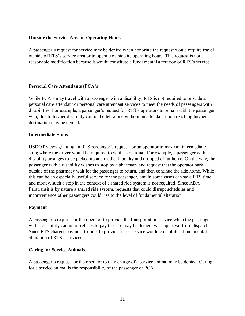#### **Outside the Service Area of Operating Hours**

A passenger's request for service may be denied when honoring the request would require travel outside of RTS's service area or to operate outside its operating hours. This request is not a reasonable modification because it would constitute a fundamental alteration of RTS's service.

#### **Personal Care Attendants (PCA's)**

While PCA's may travel with a passenger with a disability, RTS is not required to provide a personal care attendant or personal care attendant services to meet the needs of passengers with disabilities. For example, a passenger's request for RTS's operators to remain with the passenger who; due to his/her disability cannot be left alone without an attendant upon reaching his/her destination may be denied.

#### **Intermediate Stops**

USDOT views granting an RTS passenger's request for an operator to make an intermediate stop; where the driver would be required to wait, as optional. For example, a passenger with a disability arranges to be picked up at a medical facility and dropped off at home. On the way, the passenger with a disability wishes to stop by a pharmacy and request that the operator park outside of the pharmacy wait for the passenger to return, and then continue the ride home. While this can be an especially useful service for the passenger, and in some cases can save RTS time and money, such a stop in the context of a shared ride system is not required. Since ADA Paratransit is by nature a shared ride system, requests that could disrupt schedules and inconvenience other passengers could rise to the level of fundamental alteration.

#### **Payment**

A passenger's request for the operator to provide the transportation service when the passenger with a disability cannot or refuses to pay the fare may be denied; with approval from dispatch. Since RTS charges payment to ride, to provide a free service would constitute a fundamental alteration of RTS's services.

#### **Caring for Service Animals**

A passenger's request for the operator to take charge of a service animal may be denied. Caring for a service animal is the responsibility of the passenger or PCA.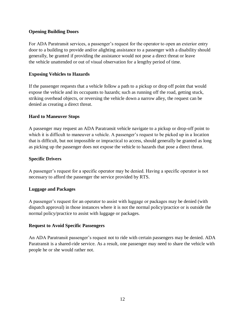#### **Opening Building Doors**

For ADA Paratransit services, a passenger's request for the operator to open an exterior entry door to a building to provide and/or alighting assistance to a passenger with a disability should generally, be granted if providing the assistance would not pose a direct threat or leave the vehicle unattended or out of visual observation for a lengthy period of time.

#### **Exposing Vehicles to Hazards**

If the passenger requests that a vehicle follow a path to a pickup or drop off point that would expose the vehicle and its occupants to hazards; such as running off the road, getting stuck, striking overhead objects, or reversing the vehicle down a narrow alley, the request can be denied as creating a direct threat.

#### **Hard to Maneuver Stops**

A passenger may request an ADA Paratransit vehicle navigate to a pickup or drop-off point to which it is difficult to maneuver a vehicle. A passenger's request to be picked up in a location that is difficult, but not impossible or impractical to access, should generally be granted as long as picking up the passenger does not expose the vehicle to hazards that pose a direct threat.

#### **Specific Drivers**

A passenger's request for a specific operator may be denied. Having a specific operator is not necessary to afford the passenger the service provided by RTS.

#### **Luggage and Packages**

A passenger's request for an operator to assist with luggage or packages may be denied (with dispatch approval) in those instances where it is not the normal policy/practice or is outside the normal policy/practice to assist with luggage or packages.

#### **Request to Avoid Specific Passengers**

An ADA Paratransit passenger's request not to ride with certain passengers may be denied. ADA Paratransit is a shared-ride service. As a result, one passenger may need to share the vehicle with people he or she would rather not.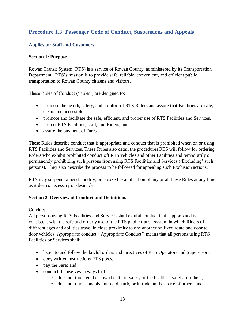# <span id="page-12-0"></span>**Procedure 1.3: Passenger Code of Conduct, Suspensions and Appeals**

#### <span id="page-12-1"></span>**Applies to: Staff and Customers**

#### **Section 1: Purpose**

Rowan Transit System (RTS) is a service of Rowan County, administered by its Transportation Department. RTS's mission is to provide safe, reliable, convenient, and efficient public transportation to Rowan County citizens and visitors.

These Rules of Conduct ('Rules') are designed to:

- promote the health, safety, and comfort of RTS Riders and assure that Facilities are safe, clean, and accessible.
- promote and facilitate the safe, efficient, and proper use of RTS Facilities and Services.
- protect RTS Facilities, staff, and Riders; and
- assure the payment of Fares.

These Rules describe conduct that is appropriate and conduct that is prohibited when on or using RTS Facilities and Services. These Rules also detail the procedures RTS will follow for ordering Riders who exhibit prohibited conduct off RTS vehicles and other Facilities and temporarily or permanently prohibiting such persons from using RTS Facilities and Services ('Excluding' such persons). They also describe the process to be followed for appealing such Exclusion actions.

RTS may suspend, amend, modify, or revoke the application of any or all these Rules at any time as it deems necessary or desirable.

#### **Section 2. Overview of Conduct and Definitions**

#### Conduct

All persons using RTS Facilities and Services shall exhibit conduct that supports and is consistent with the safe and orderly use of the RTS public transit system in which Riders of different ages and abilities travel in close proximity to one another on fixed route and door to door vehicles. Appropriate conduct ('Appropriate Conduct') means that all persons using RTS Facilities or Services shall:

- listen to and follow the lawful orders and directives of RTS Operators and Supervisors.
- obey written instructions RTS posts.
- pay the Fare; and
- conduct themselves in ways that:
	- o does not threaten their own health or safety or the health or safety of others;
	- o does not unreasonably annoy, disturb, or intrude on the space of others; and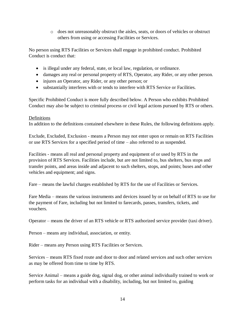o does not unreasonably obstruct the aisles, seats, or doors of vehicles or obstruct others from using or accessing Facilities or Services.

No person using RTS Facilities or Services shall engage in prohibited conduct. Prohibited Conduct is conduct that:

- is illegal under any federal, state, or local law, regulation, or ordinance.
- damages any real or personal property of RTS, Operator, any Rider, or any other person.
- injures an Operator, any Rider, or any other person; or
- substantially interferes with or tends to interfere with RTS Service or Facilities.

Specific Prohibited Conduct is more fully described below. A Person who exhibits Prohibited Conduct may also be subject to criminal process or civil legal actions pursued by RTS or others.

#### Definitions

In addition to the definitions contained elsewhere in these Rules, the following definitions apply.

Exclude, Excluded, Exclusion - means a Person may not enter upon or remain on RTS Facilities or use RTS Services for a specified period of time – also referred to as suspended.

Facilities - means all real and personal property and equipment of or used by RTS in the provision of RTS Services. Facilities include, but are not limited to, bus shelters, bus stops and transfer points, and areas inside and adjacent to such shelters, stops, and points; buses and other vehicles and equipment; and signs.

Fare – means the lawful charges established by RTS for the use of Facilities or Services.

Fare Media – means the various instruments and devices issued by or on behalf of RTS to use for the payment of Fare, including but not limited to farecards, passes, transfers, tickets, and vouchers.

Operator – means the driver of an RTS vehicle or RTS authorized service provider (taxi driver).

Person – means any individual, association, or entity.

Rider – means any Person using RTS Facilities or Services.

Services – means RTS fixed route and door to door and related services and such other services as may be offered from time to time by RTS.

Service Animal – means a guide dog, signal dog, or other animal individually trained to work or perform tasks for an individual with a disability, including, but not limited to, guiding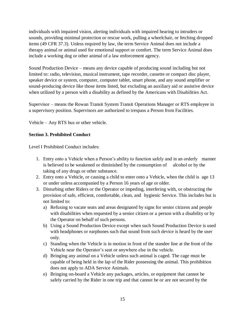individuals with impaired vision, alerting individuals with impaired hearing to intruders or sounds, providing minimal protection or rescue work, pulling a wheelchair, or fetching dropped items (49 CFR 37.3). Unless required by law, the term Service Animal does not include a therapy animal or animal used for emotional support or comfort. The term Service Animal does include a working dog or other animal of a law enforcement agency.

Sound Production Device – means any device capable of producing sound including but not limited to: radio, television, musical instrument, tape recorder, cassette or compact disc player, speaker device or system, computer, computer tablet, smart phone, and any sound amplifier or sound-producing device like those items listed, but excluding an auxiliary aid or assistive device when utilized by a person with a disability as defined by the Americans with Disabilities Act.

Supervisor – means the Rowan Transit System Transit Operations Manager or RTS employee in a supervisory position. Supervisors are authorized to trespass a Person from Facilities.

Vehicle – Any RTS bus or other vehicle.

#### **Section 3. Prohibited Conduct**

Level I Prohibited Conduct includes:

- 1. Entry onto a Vehicle when a Person's ability to function safely and in an orderly manner is believed to be weakened or diminished by the consumption of alcohol or by the taking of any drugs or other substance.
- 2. Entry onto a Vehicle, or causing a child to enter onto a Vehicle, when the child is age 13 or under unless accompanied by a Person 16 years of age or older.
- 3. Disturbing other Riders or the Operator or impeding, interfering with, or obstructing the provision of safe, efficient, comfortable, clean, and hygienic Service. This includes but is not limited to:
	- a) Refusing to vacate seats and areas designated by signs for senior citizens and people with disabilities when requested by a senior citizen or a person with a disability or by the Operator on behalf of such persons.
	- b) Using a Sound Production Device except when such Sound Production Device is used with headphones or earphones such that sound from such device is heard by the user only.
	- c) Standing when the Vehicle is in motion in front of the standee line at the front of the Vehicle near the Operator's seat or anywhere else in the vehicle.
	- d) Bringing any animal on a Vehicle unless such animal is caged. The cage must be capable of being held in the lap of the Rider possessing the animal. This prohibition does not apply to ADA Service Animals.
	- e) Bringing on-board a Vehicle any packages, articles, or equipment that cannot be safely carried by the Rider in one trip and that cannot be or are not secured by the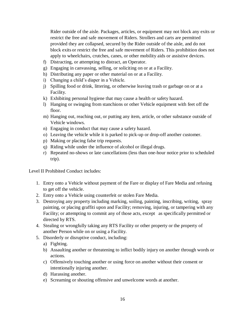Rider outside of the aisle. Packages, articles, or equipment may not block any exits or restrict the free and safe movement of Riders. Strollers and carts are permitted provided they are collapsed, secured by the Rider outside of the aisle, and do not block exits or restrict the free and safe movement of Riders. This prohibition does not apply to wheelchairs, crutches, canes, or other mobility aids or assistive devices.

- f) Distracting, or attempting to distract, an Operator.
- g) Engaging in canvassing, selling, or soliciting on or at a Facility.
- h) Distributing any paper or other material on or at a Facility.
- i) Changing a child's diaper in a Vehicle.
- j) Spilling food or drink, littering, or otherwise leaving trash or garbage on or at a Facility.
- k) Exhibiting personal hygiene that may cause a health or safety hazard.
- l) Hanging or swinging from stanchions or other Vehicle equipment with feet off the floor.
- m) Hanging out, reaching out, or putting any item, article, or other substance outside of Vehicle windows.
- n) Engaging in conduct that may cause a safety hazard.
- o) Leaving the vehicle while it is parked to pick-up or drop-off another customer.
- p) Making or placing false trip requests.
- q) Riding while under the influence of alcohol or illegal drugs.
- r) Repeated no-shows or late cancellations (less than one-hour notice prior to scheduled trip).

Level II Prohibited Conduct includes:

- 1. Entry onto a Vehicle without payment of the Fare or display of Fare Media and refusing to get off the vehicle.
- 2. Entry onto a Vehicle using counterfeit or stolen Fare Media.
- 3. Destroying any property including marking, soiling, painting, inscribing, writing, spray painting, or placing graffiti upon and Facility; removing, injuring, or tampering with any Facility; or attempting to commit any of those acts, except as specifically permitted or directed by RTS.
- 4. Stealing or wrongfully taking any RTS Facility or other property or the property of another Person while on or using a Facility.
- 5. Disorderly or disruptive conduct, including:
	- a) Fighting.
	- b) Assaulting another or threatening to inflict bodily injury on another through words or actions.
	- c) Offensively touching another or using force on another without their consent or intentionally injuring another.
	- d) Harassing another.
	- e) Screaming or shouting offensive and unwelcome words at another.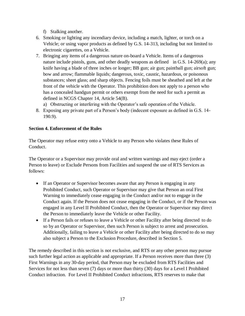f) Stalking another.

- 6. Smoking or lighting any incendiary device, including a match, lighter, or torch on a Vehicle; or using vapor products as defined by G.S. 14-313, including but not limited to electronic cigarettes, on a Vehicle.
- 7. Bringing any items of a dangerous nature on-board a Vehicle. Items of a dangerous nature include pistols, guns, and other deadly weapons as defined in G.S. 14-269(a); any knife having a blade of three inches or longer; BB gun; air gun; paintball gun; airsoft gun; bow and arrow; flammable liquids; dangerous, toxic, caustic, hazardous, or poisonous substances; sheet glass; and sharp objects. Fencing foils must be sheathed and left at the front of the vehicle with the Operator. This prohibition does not apply to a person who has a concealed handgun permit or others exempt from the need for such a permit as defined in NCGS Chapter 14, Article 54(B).
	- a) Obstructing or interfering with the Operator's safe operation of the Vehicle.
- 8. Exposing any private part of a Person's body (indecent exposure as defined in G.S. 14- 190.9).

#### **Section 4. Enforcement of the Rules**

The Operator may refuse entry onto a Vehicle to any Person who violates these Rules of Conduct.

The Operator or a Supervisor may provide oral and written warnings and may eject (order a Person to leave) or Exclude Persons from Facilities and suspend the use of RTS Services as follows:

- If an Operator or Supervisor becomes aware that any Person is engaging in any Prohibited Conduct, such Operator or Supervisor may give that Person an oral First Warning to immediately cease engaging in the Conduct and/or not to engage in the Conduct again. If the Person does not cease engaging in the Conduct, or if the Person was engaged in any Level II Prohibited Conduct, then the Operator or Supervisor may direct the Person to immediately leave the Vehicle or other Facility.
- If a Person fails or refuses to leave a Vehicle or other Facility after being directed to do so by an Operator or Supervisor, then such Person is subject to arrest and prosecution. Additionally, failing to leave a Vehicle or other Facility after being directed to do so may also subject a Person to the Exclusion Procedure, described in Section 5.

The remedy described in this section is not exclusive, and RTS or any other person may pursue such further legal action as applicable and appropriate. If a Person receives more than three (3) First Warnings in any 30-day period, that Person may be excluded from RTS Facilities and Services for not less than seven (7) days or more than thirty (30) days for a Level I Prohibited Conduct infraction. For Level II Prohibited Conduct infractions, RTS reserves to make that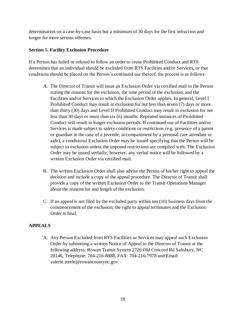determination on a case-by-case basis but a minimum of 30 days for the first infraction and longer for more serious offenses.

#### **Section 5. Facility Exclusion Procedure**

If a Person has failed or refused to follow an order to cease Prohibited Conduct and RTS determines that an individual should be excluded from RTS Facilities and/or Services, or that conditions should be placed on the Person's continued use thereof, the process is as follows:

- A. The Director of Transit will issue an Exclusion Order via certified mail to the Person stating the reasons for the exclusion, the time period of the exclusion, and the Facilities and/or Services to which the Exclusion Order applies. In general, Level I Prohibited Conduct may result in exclusion for not less than seven (7) days or more than thirty (30) days and Level II Prohibited Conduct may result in exclusion for not less than 30 days or more than six (6) months. Repeated instances of Prohibited Conduct will result in longer exclusion periods. If continued use of Facilities and/or Services is made subject to safety conditions or restrictions (e.g. presence of a parent or guardian in the case of a juvenile; accompaniment by a personal care attendant or aide), a conditional Exclusion Order may be issued specifying that the Person will be subject to exclusion unless the imposed restrictions are complied with. The Exclusion Order may be issued verbally; however, any verbal notice will be followed by a written Exclusion Order via certified mail.
- B. The written Exclusion Order shall also advise the Person of his/her right to appeal the decision and include a copy of the appeal procedure. The Director of Transit shall provide a copy of the written Exclusion Order to the Transit Operations Manager about the reasons for and length of the exclusion.
- C. If an appeal is not filed by the excluded party within ten (10) business days from the commencement of the exclusion, the right to appeal terminates and the Exclusion Order is final.

#### **APPEALS**

A. Any Person Excluded from RTS Facilities or Services may appeal such Exclusion Order by submitting a written Notice of Appeal to the Director of Transit at the following address: Rowan Transit System 2726 Old Concord Rd Salisbury, NC 28146, Telephone: 704-216-8888, FAX: 704-216-7978 and Email: valerie.steele@rowancountync.gov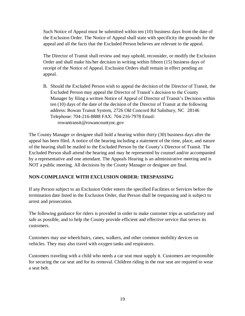Such Notice of Appeal must be submitted within ten (10) business days from the date of the Exclusion Order. The Notice of Appeal shall state with specificity the grounds for the appeal and all the facts that the Excluded Person believes are relevant to the appeal.

The Director of Transit shall review and may uphold, reconsider, or modify the Exclusion Order and shall make his/her decision in writing within fifteen (15) business days of receipt of the Notice of Appeal. Exclusion Orders shall remain in effect pending an appeal.

B. Should the Excluded Person wish to appeal the decision of the Director of Transit, the Excluded Person may appeal the Director of Transit's decision to the County Manager by filing a written Notice of Appeal of Director of Transit's Decision within ten (10) days of the date of the decision of the Director of Transit at the following address: Rowan Transit System, 2726 Old Concord Rd Salisbury, NC 28146 Telephone: 704-216-8888 FAX: 704-216-7978 Email: rowantransit@rowancountync.gov

The County Manager or designee shall hold a hearing within thirty (30) business days after the appeal has been filed. A notice of the hearing including a statement of the time, place, and nature of the hearing shall be mailed to the Excluded Person by the County's Director of Transit. The Excluded Person shall attend the hearing and may be represented by counsel and/or accompanied by a representative and one attendant. The Appeals Hearing is an administrative meeting and is NOT a public meeting. All decisions by the County Manager or designee are final.

#### **NON-COMPLIANCE WITH EXCLUSION ORDER: TRESPASSING**

If any Person subject to an Exclusion Order enters the specified Facilities or Services before the termination date listed in the Exclusion Order, that Person shall be trespassing and is subject to arrest and prosecution.

The following guidance for riders is provided in order to make customer trips as satisfactory and safe as possible, and to help the County provide efficient and effective service that serves its customers.

Customers may use wheelchairs, canes, walkers, and other common mobility devices on vehicles. They may also travel with oxygen tanks and respirators.

Customers traveling with a child who needs a car seat must supply it. Customers are responsible for securing the car seat and for its removal. Children riding in the rear seat are required to wear a seat belt.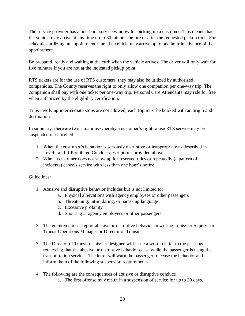The service provider has a one-hour service window for picking up a customer. This means that the vehicle may arrive at any time up to 30 minutes before or after the requested pickup time. For schedules utilizing an appointment time, the vehicle may arrive up to one hour in advance of the appointment.

Be prepared, ready and waiting at the curb when the vehicle arrives. The driver will only wait for five minutes if you are not at the indicated pickup point.

RTS tickets are for the use of RTS customers, they may also be utilized by authorized companions. The County reserves the right to only allow one companion per one-way trip. The companion shall pay with one ticket per one-way trip. Personal Care Attendants may ride for free when authorized by the eligibility certification.

Trips involving intermediate stops are not allowed, each trip must be booked with an origin and destination.

In summary, there are two situations whereby a customer's right to use RTS service may be suspended or cancelled:

- 1. When the customer's behavior is seriously disruptive or inappropriate as described in Level I and II Prohibited Conduct descriptions provided above.
- 2. When a customer does not show up for reserved rides or repeatedly (a pattern of incidents) cancels service with less than one hour's notice.

#### Guidelines:

- 1. Abusive and disruptive behavior includes but is not limited to:
	- a. Physical altercations with agency employees or other passengers
	- b. Threatening, intimidating, or harassing language
	- c. Excessive profanity
	- d. Shouting at agency employees or other passengers
- 2. The employee must report abusive or disruptive behavior in writing to his/her Supervisor, Transit Operations Manager or Director of Transit.
- 3. The Director of Transit or his/her designee will issue a written letter to the passenger requesting that the abusive or disruptive behavior cease while the passenger is using the transportation service. The letter will warn the passenger to cease the behavior and inform them of the following suspension requirements.
- 4. The following are the consequences of abusive or disruptive conduct:
	- a. The first offense may result in a suspension of service for up to 30 days.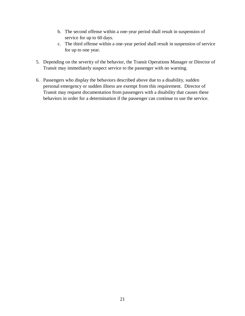- b. The second offense within a one-year period shall result in suspension of service for up to 60 days.
- c. The third offense within a one-year period shall result in suspension of service for up to one year.
- 5. Depending on the severity of the behavior, the Transit Operations Manager or Director of Transit may immediately suspect service to the passenger with no warning.
- <span id="page-20-0"></span>6. Passengers who display the behaviors described above due to a disability, sudden personal emergency or sudden illness are exempt from this requirement. Director of Transit may request documentation from passengers with a disability that causes these behaviors in order for a determination if the passenger can continue to use the service.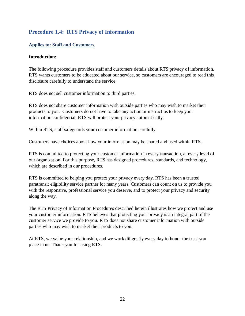# **Procedure 1.4: RTS Privacy of Information**

#### <span id="page-21-0"></span>**Applies to: Staff and Customers**

#### **Introduction:**

The following procedure provides staff and customers details about RTS privacy of information. RTS wants customers to be educated about our service, so customers are encouraged to read this disclosure carefully to understand the service.

RTS does not sell customer information to third parties.

RTS does not share customer information with outside parties who may wish to market their products to you. Customers do not have to take any action or instruct us to keep your information confidential. RTS will protect your privacy automatically.

Within RTS, staff safeguards your customer information carefully.

Customers have choices about how your information may be shared and used within RTS.

RTS is committed to protecting your customer information in every transaction, at every level of our organization. For this purpose, RTS has designed procedures, standards, and technology, which are described in our procedures.

RTS is committed to helping you protect your privacy every day. RTS has been a trusted paratransit eligibility service partner for many years. Customers can count on us to provide you with the responsive, professional service you deserve, and to protect your privacy and security along the way.

The RTS Privacy of Information Procedures described herein illustrates how we protect and use your customer information. RTS believes that protecting your privacy is an integral part of the customer service we provide to you. RTS does not share customer information with outside parties who may wish to market their products to you.

At RTS, we value your relationship, and we work diligently every day to honor the trust you place in us. Thank you for using RTS.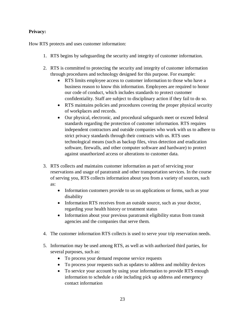#### **Privacy:**

How RTS protects and uses customer information:

- 1. RTS begins by safeguarding the security and integrity of customer information.
- 2. RTS is committed to protecting the security and integrity of customer information through procedures and technology designed for this purpose. For example:
	- RTS limits employee access to customer information to those who have a business reason to know this information. Employees are required to honor our code of conduct, which includes standards to protect customer confidentiality. Staff are subject to disciplinary action if they fail to do so.
	- RTS maintains policies and procedures covering the proper physical security of workplaces and records.
	- Our physical, electronic, and procedural safeguards meet or exceed federal standards regarding the protection of customer information. RTS requires independent contractors and outside companies who work with us to adhere to strict privacy standards through their contracts with us. RTS uses technological means (such as backup files, virus detection and eradication software, firewalls, and other computer software and hardware) to protect against unauthorized access or alterations to customer data.
- 3. RTS collects and maintains customer information as part of servicing your reservations and usage of paratransit and other transportation services. In the course of serving you, RTS collects information about you from a variety of sources, such as:
	- Information customers provide to us on applications or forms, such as your disability
	- Information RTS receives from an outside source, such as your doctor, regarding your health history or treatment status
	- Information about your previous paratransit eligibility status from transit agencies and the companies that serve them.
- 4. The customer information RTS collects is used to serve your trip reservation needs.
- 5. Information may be used among RTS, as well as with authorized third parties, for several purposes, such as:
	- To process your demand response service requests
	- To process your requests such as updates to address and mobility devices
	- To service your account by using your information to provide RTS enough information to schedule a ride including pick up address and emergency contact information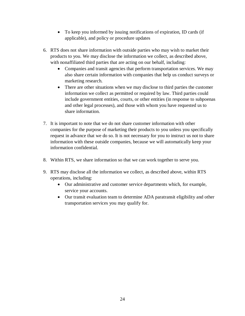- To keep you informed by issuing notifications of expiration, ID cards (if applicable), and policy or procedure updates
- 6. RTS does not share information with outside parties who may wish to market their products to you. We may disclose the information we collect, as described above, with nonaffiliated third parties that are acting on our behalf, including:
	- Companies and transit agencies that perform transportation services. We may also share certain information with companies that help us conduct surveys or marketing research.
	- There are other situations when we may disclose to third parties the customer information we collect as permitted or required by law. Third parties could include government entities, courts, or other entities (in response to subpoenas and other legal processes), and those with whom you have requested us to share information.
- 7. It is important to note that we do not share customer information with other companies for the purpose of marketing their products to you unless you specifically request in advance that we do so. It is not necessary for you to instruct us not to share information with these outside companies, because we will automatically keep your information confidential.
- 8. Within RTS, we share information so that we can work together to serve you.
- 9. RTS may disclose all the information we collect, as described above, within RTS operations, including:
	- Our administrative and customer service departments which, for example, service your accounts.
	- Our transit evaluation team to determine ADA paratransit eligibility and other transportation services you may qualify for.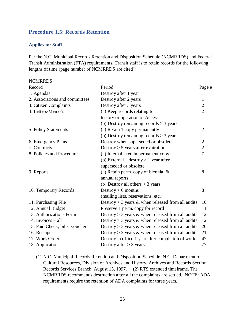#### <span id="page-24-0"></span>**Procedure 1.5: Records Retention**

#### <span id="page-24-1"></span>**Applies to: Staff**

Per the N.C. Municipal Records Retention and Disposition Schedule (NCMRRDS) and Federal Transit Administration (FTA) requirements, Transit staff is to retain records for the following lengths of time (page number of NCMRRDS are cited):

#### NCMRRDS

| Record                          | Period                                                 | Page #         |
|---------------------------------|--------------------------------------------------------|----------------|
| 1. Agendas                      | Destroy after 1 year                                   | 1              |
| 2. Associations and committees  | Destroy after 2 years                                  | 1              |
| 3. Citizen Complaints           | Destroy after 3 years                                  | $\overline{2}$ |
| 4. Letters/Memo's               | (a) Keep records relating to                           | $\overline{2}$ |
|                                 | history or operation of Access                         |                |
|                                 | (b) Destroy remaining records $>$ 3 years              |                |
| 5. Policy Statements            | (a) Retain 1 copy permanently                          | $\overline{2}$ |
|                                 | (b) Destroy remaining records $>$ 3 years              |                |
| 6. Emergency Plans              | Destroy when superseded or obsolete                    | $\overline{2}$ |
| 7. Contracts                    | Destroy $> 5$ years after expiration                   | $\overline{2}$ |
| 8. Policies and Procedures      | (a) Internal - retain permanent copy                   | $\overline{7}$ |
|                                 | (b) External – destroy $> 1$ year after                |                |
|                                 | superseded or obsolete                                 |                |
| 9. Reports                      | (a) Retain perm. copy of biennial $\&$                 | 8              |
|                                 | annual reports                                         |                |
|                                 | (b) Destroy all others $>$ 3 years                     |                |
| 10. Temporary Records           | Destroy $> 6$ months                                   | 8              |
|                                 | (mailing lists, reservations, etc.)                    |                |
| 11. Purchasing File             | Destroy $>$ 3 years $\&$ when released from all audits | 10             |
| 12. Annual Budget               | Preserve 1 perm. copy for record                       | 11             |
| 13. Authorizations Form         | Destroy $>$ 3 years & when released from all audits    | 12             |
| 14. Invoices $-$ all            | Destroy $>$ 3 years $\&$ when released from all audits | 12             |
| 15. Paid Check, bills, vouchers | Destroy $>$ 3 years & when released from all audits    | 20             |
| 16. Receipts                    | Destroy $>$ 3 years & when released from all audits    | 21             |
| 17. Work Orders                 | Destroy in office 1 year after completion of work      | 47             |
| 18. Applications                | Destroy after $>$ 3 years                              | 77             |

(1) N.C. Municipal Records Retention and Disposition Schedule, N.C. Department of Cultural Resources, Division of Archives and History, Archives and Records Section, Records Services Branch, August 15, 1997. (2) RTS extended timeframe. The NCMRRDS recommends destruction after all the complaints are settled. NOTE: ADA requirements require the retention of ADA complaints for three years.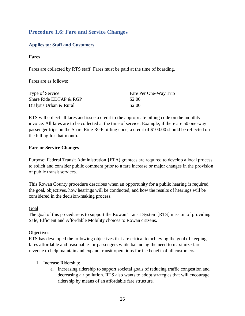# <span id="page-25-0"></span>**Procedure 1.6: Fare and Service Changes**

#### <span id="page-25-1"></span>**Applies to: Staff and Customers**

#### **Fares**

Fares are collected by RTS staff. Fares must be paid at the time of boarding.

Fares are as follows:

| Type of Service        | Fare Per One-Way Trip |
|------------------------|-----------------------|
| Share Ride EDTAP & RGP | \$2.00                |
| Dialysis Urban & Rural | \$2.00                |

RTS will collect all fares and issue a credit to the appropriate billing code on the monthly invoice. All fares are to be collected at the time of service. Example; if there are 50 one-way passenger trips on the Share Ride RGP billing code, a credit of \$100.00 should be reflected on the billing for that month.

#### **Fare or Service Changes**

Purpose: Federal Transit Administration {FTA) grantees are required to develop a local process to solicit and consider public comment prior to a fare increase or major changes in the provision of public transit services.

This Rowan County procedure describes when an opportunity for a public hearing is required, the goal, objectives, how hearings will be conducted, and how the results of hearings will be considered in the decision-making process.

#### Goal

The goal of this procedure is to support the Rowan Transit System [RTS] mission of providing Safe, Efficient and Affordable Mobility choices to Rowan citizens.

#### **Objectives**

RTS has developed the following objectives that are critical to achieving the goal of keeping fares affordable and reasonable for passengers while balancing the need to maximize fare revenue to help maintain and expand transit operations for the benefit of all customers.

- 1. Increase Ridership:
	- a. Increasing ridership to support societal goals of reducing traffic congestion and decreasing air pollution. RTS also wants to adopt strategies that will encourage ridership by means of an affordable fare structure.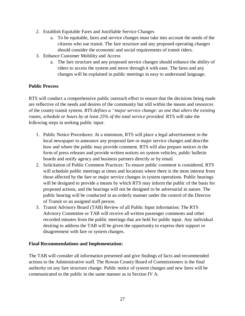- 2. Establish Equitable Fares and Justifiable Service Changes
	- a. To be equitable, fares and service changes must take into account the needs of the citizens who use transit. The fare structure and any proposed operating changes should consider the economic and social requirements of transit riders.
- 3. Enhance Customer Mobility and Access
	- a. The fare structure and any proposed service changes should enhance the ability of riders to access the system and move through it with ease. The fares and any changes will be explained in public meetings in easy to understand language.

#### **Public Process**

RTS will conduct a comprehensive public outreach effort to ensure that the decisions being made are reflective of the needs and desires of the community but still within the means and resources of the county transit system. *RTS defines a "major service change: as one that alters the existing routes, schedule or hours by at least 25% of the total service provided.* RTS will take the following steps in seeking public input:

- 1. Public Notice Procedures: At a minimum, RTS will place a legal advertisement in the local newspaper to announce any proposed fare or major service changes and describe how and where the public may provide comment. RTS will also prepare notices in the form of press releases and provide written notices on system vehicles, public bulletin boards and notify agency and business partners directly or by email.
- 2. Solicitation of Public Comment Practices: To ensure public comment is considered, RTS will schedule public meetings at times and locations where there is the most interest from those affected by the fare or major service changes in system operations. Public hearings will be designed to provide a means by which RTS may inform the public of the basis for proposed actions, and the hearings will not be designed to be adversarial in nature. The public hearing will be conducted in an orderly manner under the control of the Director of Transit or an assigned staff person.
- 3. Transit Advisory Board (TAB) Review of all Public Input information: The RTS Advisory Committee or TAB will receive all written passenger comments and other recorded minutes from the public meetings that are held for public input. Any individual desiring to address the TAB will be given the opportunity to express their support or disagreement with fare or system changes.

#### **Final Recommendations and Implementation:**

The TAB will consider all information presented and give findings of facts and recommended actions to the Administrative staff. The Rowan County Board of Commissioners is the final authority on any fare structure change. Public notice of system changes and new fares will be communicated to the public in the same manner as in Section IV A.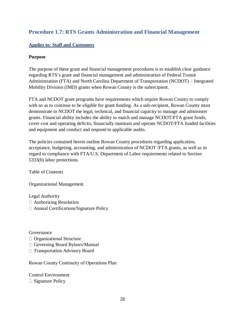# <span id="page-27-0"></span>**Procedure 1.7: RTS Grants Administration and Financial Management**

#### <span id="page-27-1"></span>**Applies to: Staff and Customers**

#### **Purpose**

The purpose of these grant and financial management procedures is to establish clear guidance regarding RTS's grant and financial management and administration of Federal Transit Administration (FTA) and North Carolina Department of Transportation (NCDOT) – Integrated Mobility Division (IMD) grants when Rowan County is the subrecipient.

FTA and NCDOT grant programs have requirements which require Rowan County to comply with so as to continue to be eligible for grant funding. As a sub-recipient, Rowan County must demonstrate to NCDOT the legal, technical, and financial capacity to manage and administer grants. Financial ability includes the ability to match and manage NCDOT/FTA grant funds, cover cost and operating deficits, financially maintain and operate NCDOT/FTA funded facilities and equipment and conduct and respond to applicable audits.

The policies contained herein outline Rowan County procedures regarding application, acceptance, budgeting, accounting, and administration of NCDOT /FTA grants, as well as in regard to compliance with FTA/U.S. Department of Labor requirements related to Section 5333(b) labor protections.

Table of Contents

Organizational Management

Legal Authority Authorizing Resolution Annual Certifications/Signature Policy

Governance

- □ Organizational Structure
- Governing Board Bylaws/Manual
- □ Transportation Advisory Board

Rowan County Continuity of Operations Plan

Control Environment  $\Box$  Signature Policy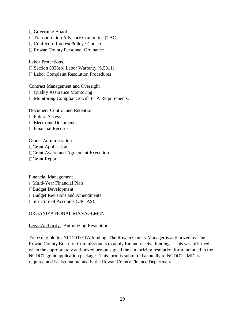Governing Board

 $\Box$  Transportation Advisory Committee [TAC]

□ Conflict of Interest Policy / Code of

Rowan County Personnel Ordinance

Labor Protections.

 $\Box$  Section 5333(b) Labor Warranty (S.5311)

Labor Complaint Resolution Procedures

Contract Management and Oversight

- □ Quality Assurance Monitoring
- $\Box$  Monitoring Compliance with FTA Requirements.

Document Control and Retention □ Public Access □ Electronic Documents  $\Box$  Financial Records

Grants Administration Grant Application □ Grant Award and Agreement Execution □Grant Report

Financial Management Multi-Year Financial Plan Budget Development □Budget Revisions and Amendments □ Structure of Accounts (UPTAS)

ORGANIZATIONAL MANAGEMENT

Legal Authority: Authorizing Resolution

To be eligible for NCDOT/FTA funding, The Rowan County Manager is authorized by The Rowan County Board of Commissioners to apply for and receive funding. This was affirmed when the appropriately authorized person signed the authorizing resolution form included in the NCDOT grant application package. This form is submitted annually to NCDOT-IMD as required and is also maintained in the Rowan County Finance Department.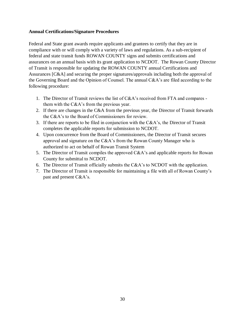#### **Annual Certifications/Signature Procedures**

Federal and State grant awards require applicants and grantees to certify that they are in compliance with or will comply with a variety of laws and regulations. As a sub-recipient of federal and state transit funds ROWAN COUNTY signs and submits certifications and assurances on an annual basis with its grant application to NCDOT. The Rowan County Director of Transit is responsible for updating the ROWAN COUNTY annual Certifications and Assurances [C&A] and securing the proper signatures/approvals including both the approval of the Governing Board and the Opinion of Counsel. The annual C&A's are filed according to the following procedure:

- 1. The Director of Transit reviews the list of C&A's received from FTA and compares them with the C&A's from the previous year.
- 2. If there are changes in the C&A from the previous year, the Director of Transit forwards the C&A's to the Board of Commissioners for review.
- 3. If there are reports to be filed in conjunction with the C&A's, the Director of Transit completes the applicable reports for submission to NCDOT.
- 4. Upon concurrence from the Board of Commissioners, the Director of Transit secures approval and signature on the C&A's from the Rowan County Manager who is authorized to act on behalf of Rowan Transit System
- 5. The Director of Transit compiles the approved C&A's and applicable reports for Rowan County for submittal to NCDOT.
- 6. The Director of Transit officially submits the C&A's to NCDOT with the application.
- 7. The Director of Transit is responsible for maintaining a file with all of Rowan County's past and present C&A's.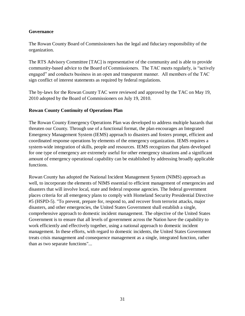#### **Governance**

The Rowan County Board of Commissioners has the legal and fiduciary responsibility of the organization.

The RTS Advisory Committee [TAC] is representative of the community and is able to provide community-based advice to the Board of Commissioners. The TAC meets regularly, is "actively engaged" and conducts business in an open and transparent manner. All members of the TAC sign conflict of interest statements as required by federal regulations.

The by-laws for the Rowan County TAC were reviewed and approved by the TAC on May 19, 2010 adopted by the Board of Commissioners on July 19, 2010.

#### **Rowan County Continuity of Operations Plan**

The Rowan County Emergency Operations Plan was developed to address multiple hazards that threaten our County. Through use of a functional format, the plan encourages an Integrated Emergency Management System (IEMS) approach to disasters and fosters prompt, efficient and coordinated response operations by elements of the emergency organization. IEMS requires a system-wide integration of skills, people and resources. IEMS recognizes that plans developed for one type of emergency are extremely useful for other emergency situations and a significant amount of emergency operational capability can be established by addressing broadly applicable functions.

Rowan County has adopted the [National Incident Management System](http://www.fema.gov/nims/) (NIMS) approach as well, to incorporate the elements of NIMS essential to efficient management of emergencies and disasters that will involve local, state and federal response agencies. The federal government places criteria for all emergency plans to comply with [Homeland Security Presidential Directive](http://www.whitehouse.gov/news/releases/2003/02/20030228-9.html)  [#5](http://www.whitehouse.gov/news/releases/2003/02/20030228-9.html) (HSPD-5). "To prevent, prepare for, respond to, and recover from terrorist attacks, major disasters, and other emergencies, the United States Government shall establish a single, comprehensive approach to domestic incident management. The objective of the United States Government is to ensure that all levels of government across the Nation have the capability to work efficiently and effectively together, using a national approach to domestic incident management. In these efforts, with regard to domestic incidents, the United States Government treats crisis management and consequence management as a single, integrated function, rather than as two separate functions"...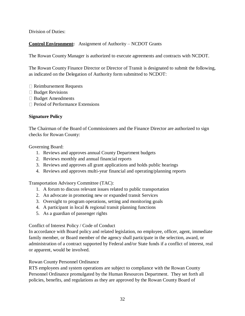Division of Duties:

### **Control Environment:** Assignment of Authority – NCDOT Grants

The Rowan County Manager is authorized to execute agreements and contracts with NCDOT.

The Rowan County Finance Director or Director of Transit is designated to submit the following, as indicated on the Delegation of Authority form submitted to NCDOT:

- $\Box$  Reimbursement Requests
- $\Box$  Budget Revisions
- □ Budget Amendments
- □ Period of Performance Extensions

#### **Signature Policy**

The Chairman of the Board of Commissioners and the Finance Director are authorized to sign checks for Rowan County:

Governing Board:

- 1. Reviews and approves annual County Department budgets
- 2. Reviews monthly and annual financial reports
- 3. Reviews and approves all grant applications and holds public hearings
- 4. Reviews and approves multi-year financial and operating/planning reports

Transportation Advisory Committee (TAC):

- 1. A forum to discuss relevant issues related to public transportation
- 2. An advocate in promoting new or expanded transit Services
- 3. Oversight to program operations, setting and monitoring goals
- 4. A participant in local & regional transit planning functions
- 5. As a guardian of passenger rights

#### Conflict of Interest Policy / Code of Conduct

In accordance with Board policy and related legislation, no employee, officer, agent, immediate family member, or Board member of the agency shall participate in the selection, award, or administration of a contract supported by Federal and/or State funds if a conflict of interest, real or apparent, would be involved.

#### Rowan County Personnel Ordinance

RTS employees and system operations are subject to compliance with the Rowan County Personnel Ordinance promulgated by the Human Resources Department. They set forth all policies, benefits, and regulations as they are approved by the Rowan County Board of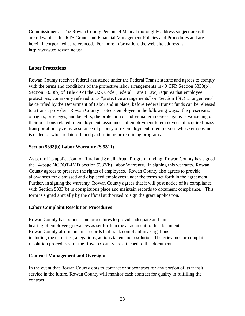Commissioners. The Rowan County Personnel Manual thoroughly address subject areas that are relevant to this RTS Grants and Financial Management Policies and Procedures and are herein incorporated as referenced. For more information, the web site address is <http://www.co.rowan.nc.us/>

#### **Labor Protections**

Rowan County receives federal assistance under the Federal Transit statute and agrees to comply with the terms and conditions of the protective labor arrangements in 49 CFR Section 5333(b). Section 5333(b) of Title 49 of the U.S. Code (Federal Transit Law) requires that employee protections, commonly referred to as "protective arrangements" or "Section 13(c) arrangements" be certified by the Department of Labor and in place, before Federal transit funds can be released to a transit provider. Rowan County protects employee in the following ways: the preservation of rights, privileges, and benefits, the protection of individual employees against a worsening of their positions related to employment, assurances of employment to employees of acquired mass transportation systems, assurance of priority of re-employment of employees whose employment is ended or who are laid off, and paid training or retraining programs.

#### **Section 5333(b) Labor Warranty (S.5311)**

As part of its application for Rural and Small Urban Program funding, Rowan County has signed the 14-page NCDOT-IMD Section 5333(b) Labor Warranty. In signing this warranty, Rowan County agrees to preserve the rights of employees. Rowan County also agrees to provide allowances for dismissed and displaced employees under the terms set forth in the agreement. Further, in signing the warranty, Rowan County agrees that it will post notice of its compliance with Section 5333(b) in conspicuous place and maintain records to document compliance. This form is signed annually by the official authorized to sign the grant application.

#### **Labor Complaint Resolution Procedures**

Rowan County has policies and procedures to provide adequate and fair hearing of employee grievances as set forth in the attachment to this document. Rowan County also maintains records that track compliant investigations including the date files, allegations, actions taken and resolution. The grievance or complaint resolution procedures for the Rowan County are attached to this document.

#### **Contract Management and Oversight**

In the event that Rowan County opts to contract or subcontract for any portion of its transit service in the future, Rowan County will monitor each contract for quality in fulfilling the contract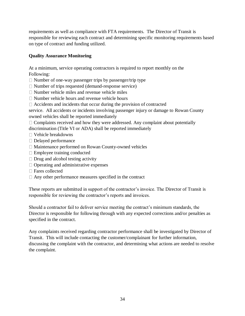requirements as well as compliance with FTA requirements. The Director of Transit is responsible for reviewing each contract and determining specific monitoring requirements based on type of contract and funding utilized.

#### **Quality Assurance Monitoring**

At a minimum, service operating contractors is required to report monthly on the Following:

 $\Box$  Number of one-way passenger trips by passenger/trip type

- $\Box$  Number of trips requested (demand-response service)
- $\Box$  Number vehicle miles and revenue vehicle miles
- Number vehicle hours and revenue vehicle hours
- $\Box$  Accidents and incidents that occur during the provision of contracted

service. All accidents or incidents involving passenger injury or damage to Rowan County owned vehicles shall be reported immediately

 $\Box$  Complaints received and how they were addressed. Any complaint about potentially discrimination (Title VI or ADA) shall be reported immediately

- Vehicle breakdowns
- □ Delayed performance
- □ Maintenance performed on Rowan County-owned vehicles
- Employee training conducted
- $\Box$  Drug and alcohol testing activity
- $\Box$  Operating and administrative expenses
- □ Fares collected
- $\Box$  Any other performance measures specified in the contract

These reports are submitted in support of the contractor's invoice. The Director of Transit is responsible for reviewing the contractor's reports and invoices.

Should a contractor fail to deliver service meeting the contract's minimum standards, the Director is responsible for following through with any expected corrections and/or penalties as specified in the contract.

Any complaints received regarding contractor performance shall be investigated by Director of Transit. This will include contacting the customer/complainant for further information, discussing the complaint with the contractor, and determining what actions are needed to resolve the complaint.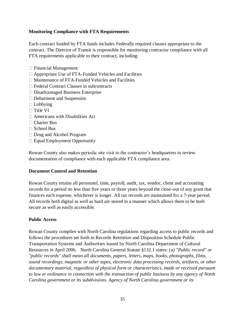#### **Monitoring Compliance with FTA Requirements**

Each contract funded by FTA funds includes Federally required clauses appropriate to the contract. The Director of Transit is responsible for monitoring contractor compliance with all FTA requirements applicable to their contract, including:

- $\Box$  Financial Management
- $\Box$  Appropriate Use of FTA-Funded Vehicles and Facilities
- $\Box$  Maintenance of FTA-Funded Vehicles and Facilities
- □ Federal Contract Clauses in subcontracts
- □ Disadvantaged Business Enterprise
- Debarment and Suspension
- $\Box$  Lobbying
- $\Box$  Title VI
- Americans with Disabilities Act
- □ Charter Bus
- □ School Bus
- Drug and Alcohol Program
- $\Box$  Equal Employment Opportunity

Rowan County also makes periodic site visit to the contractor's headquarters to review documentation of compliance with each applicable FTA compliance area.

#### **Document Control and Retention**

Rowan County retains all personnel, time, payroll, audit, tax, vendor, client and accounting records for a period no less than five years or three years beyond the close-out of any grant that finances each expense, whichever is longer. All tax records are maintained for a 7-year period. All records both digital as well as hard are stored in a manner which allows them to be both secure as well as easily accessible.

#### **Public Access**

Rowan County complies with North Carolina regulations regarding access to public records and follows the procedures set forth in Records Retention and Disposition Schedule Public Transportation Systems and Authorities issued by North Carolina Department of Cultural Resources in April 2006. North Carolina General Statute §132.1 states: (*a) "Public record" or "public records" shall mean all documents, papers, letters, maps, books, photographs, films, sound recordings, magnetic or other tapes, electronic data processing records, artifacts, or other documentary material, regardless of physical form or characteristics, made or received pursuant to law or ordinance in connection with the transaction of public business by any agency of North Carolina government or its subdivisions. Agency of North Carolina government or its*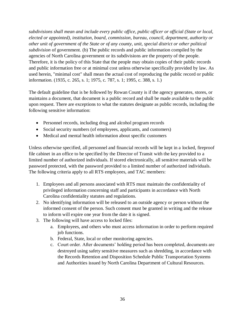*subdivisions shall mean and include every public office, public officer or official (State or local, elected or appointed), institution, board, commission, bureau, council, department, authority or other unit of government of the State or of any county, unit, special district or other political subdivision* of government. (b) The public records and public information compiled by the agencies of North Carolina government or its subdivisions are the property of the people. Therefore, it is the policy of this State that the people may obtain copies of their public records and public information free or at minimal cost unless otherwise specifically provided by law. As used herein, "minimal cost" shall mean the actual cost of reproducing the public record or public information. (1935, c. 265, s. 1; 1975, c. 787, s. 1; 1995, c. 388, s. 1.)

The default guideline that is be followed by Rowan County is if the agency generates, stores, or maintains a document, that document is a public record and shall be made available to the public upon request. There are exceptions to what the statutes designate as public records, including the following sensitive information:

- Personnel records, including drug and alcohol program records
- Social security numbers (of employees, applicants, and customers)
- Medical and mental health information about specific customers

Unless otherwise specified, all personnel and financial records will be kept in a locked, fireproof file cabinet in an office to be specified by the Director of Transit with the key provided to a limited number of authorized individuals. If stored electronically, all sensitive materials will be password protected, with the password provided to a limited number of authorized individuals. The following criteria apply to all RTS employees, and TAC members:

- 1. Employees and all persons associated with RTS must maintain the confidentiality of privileged information concerning staff and participants in accordance with North Carolina confidentiality statutes and regulations.
- 2. No identifying information will be released to an outside agency or person without the informed consent of the person. Such consent must be granted in writing and the release to inform will expire one year from the date it is signed.
- 3. The following will have access to locked files:
	- a. Employees, and others who must access information in order to perform required job functions.
	- b. Federal, State, local or other monitoring agencies.
	- c. Court order. After documents' holding period has been completed, documents are destroyed using safety sensitive measures such as shredding, in accordance with the Records Retention and Disposition Schedule Public Transportation Systems and Authorities issued by North Carolina Department of Cultural Resources.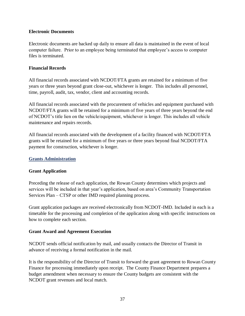## **Electronic Documents**

Electronic documents are backed up daily to ensure all data is maintained in the event of local computer failure. Prior to an employee being terminated that employee's access to computer files is terminated.

#### **Financial Records**

All financial records associated with NCDOT/FTA grants are retained for a minimum of five years or three years beyond grant close-out, whichever is longer. This includes all personnel, time, payroll, audit, tax, vendor, client and accounting records.

All financial records associated with the procurement of vehicles and equipment purchased with NCDOT/FTA grants will be retained for a minimum of five years of three years beyond the end of NCDOT's title lien on the vehicle/equipment, whichever is longer. This includes all vehicle maintenance and repairs records.

All financial records associated with the development of a facility financed with NCDOT/FTA grants will be retained for a minimum of five years or three years beyond final NCDOT/FTA payment for construction, whichever is longer.

## **Grants Administration**

## **Grant Application**

Preceding the release of each application, the Rowan County determines which projects and services will be included in that year's application, based on area's Community Transportation Services Plan – CTSP or other IMD required planning process.

Grant application packages are received electronically from NCDOT-IMD. Included in each is a timetable for the processing and completion of the application along with specific instructions on how to complete each section.

## **Grant Award and Agreement Execution**

NCDOT sends official notification by mail, and usually contacts the Director of Transit in advance of receiving a formal notification in the mail.

It is the responsibility of the Director of Transit to forward the grant agreement to Rowan County Finance for processing immediately upon receipt. The County Finance Department prepares a budget amendment when necessary to ensure the County budgets are consistent with the NCDOT grant revenues and local match.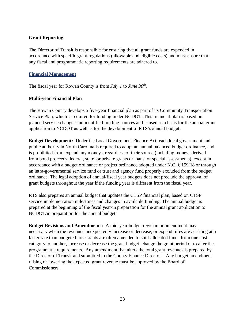## **Grant Reporting**

The Director of Transit is responsible for ensuring that all grant funds are expended in accordance with specific grant regulations (allowable and eligible costs) and must ensure that any fiscal and programmatic reporting requirements are adhered to.

#### **Financial Management**

The fiscal year for Rowan County is from *July 1* to *June 30th .* 

## **Multi-year Financial Plan**

The Rowan County develops a five-year financial plan as part of its Community Transportation Service Plan, which is required for funding under NCDOT. This financial plan is based on planned service changes and identified funding sources and is used as a basis for the annual grant application to NCDOT as well as for the development of RTS's annual budget.

**Budget Development:** Under the Local Government Finance Act, each local government and public authority in North Carolina is required to adopt an annual balanced budget ordinance, and is prohibited from expend any moneys, regardless of their source (including moneys derived from bond proceeds, federal, state, or private grants or loans, or special assessments), except in accordance with a budget ordinance or project ordinance adopted under N.C.  $\S 159\Box 8$  or through an intra-governmental service fund or trust and agency fund properly excluded from the budget ordinance. The legal adoption of annual/fiscal year budgets does not preclude the approval of grant budgets throughout the year if the funding year is different from the fiscal year.

RTS also prepares an annual budget that updates the CTSP financial plan, based on CTSP service implementation milestones and changes in available funding. The annual budget is prepared at the beginning of the fiscal year/in preparation for the annual grant application to NCDOT/in preparation for the annual budget.

**Budget Revisions and Amendments:** A mid-year budget revision or amendment may necessary when the revenues unexpectedly increase or decrease, or expenditures are accruing at a faster rate than budgeted for. Grants are often amended to shift allocated funds from one cost category to another, increase or decrease the grant budget, change the grant period or to alter the programmatic requirements. Any amendment that alters the total grant revenues is prepared by the Director of Transit and submitted to the County Finance Director. Any budget amendment raising or lowering the expected grant revenue must be approved by the Board of Commissioners.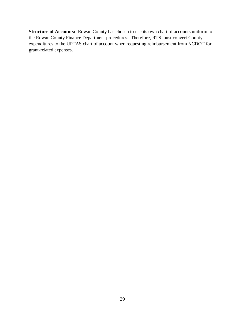**Structure of Accounts:** Rowan County has chosen to use its own chart of accounts uniform to the Rowan County Finance Department procedures. Therefore, RTS must convert County expenditures to the UPTAS chart of account when requesting reimbursement from NCDOT for grant-related expenses.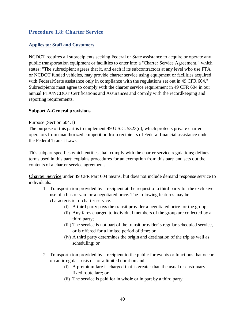## **Procedure 1.8: Charter Service**

## **Applies to: Staff and Customers**

NCDOT requires all subrecipients seeking Federal or State assistance to acquire or operate any public transportation equipment or facilities to enter into a "Charter Service Agreement," which states: "The subrecipient agrees that it, and each if its subcontractors at any level who use FTA or NCDOT funded vehicles, may provide charter service using equipment or facilities acquired with Federal/State assistance only in compliance with the regulations set out in 49 CFR 604." Subrecipients must agree to comply with the charter service requirement in 49 CFR 604 in our annual FTA/NCDOT Certifications and Assurances and comply with the recordkeeping and reporting requirements.

## **Subpart A-General provisions**

#### Purpose (Section 604.1)

The purpose of this part is to implement 49 U.S.C. 5323(d), which protects private charter operators from unauthorized competition from recipients of Federal financial assistance under the Federal Transit Laws.

This subpart specifies which entities shall comply with the charter service regulations; defines terms used in this part; explains procedures for an exemption from this part; and sets out the contents of a charter service agreement.

**Charter Service** under 49 CFR Part 604 means, but does not include demand response service to individuals:

- 1. Transportation provided by a recipient at the request of a third party for the exclusive use of a bus or van for a negotiated price. The following features may be characteristic of charter service:
	- (i) A third party pays the transit provider a negotiated price for the group;
	- (ii) Any fares charged to individual members of the group are collected by a third party;
	- (iii) The service is not part of the transit provider' s regular scheduled service, or is offered for a limited period of time; or
	- (iv) A third party determines the origin and destination of the trip as well as scheduling; or
- 2. Transportation provided by a recipient to the public for events or functions that occur on an irregular basis or for a limited duration and:
	- (i) A premium fare is charged that is greater than the usual or customary fixed route fare; or
	- (ii) The service is paid for in whole or in part by a third party.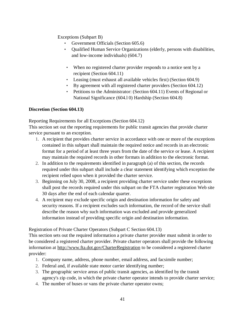Exceptions (Subpart B)

- Government Officials (Section 605.6)
- Qualified Human Service Organizations (elderly, persons with disabilities, and low-income individuals) (604.7)
- When no registered charter provider responds to a notice sent by a recipient (Section 604.11)
- Leasing (must exhaust all available vehicles first) (Section 604.9)
- By agreement with all registered charter providers (Section 604.12)
- Petitions to the Administrator: (Section 604.11) Events of Regional or National Significance (604.l 0) Hardship (Section 604.8)

## **Discretion (Section 604.13)**

Reporting Requirements for all Exceptions (Section 604.12)

This section set out the reporting requirements for public transit agencies that provide charter service pursuant to an exception.

- 1. A recipient that provides charter service in accordance with one or more of the exceptions contained in this subpart shall maintain the required notice and records in an electronic format for a period of at least three years from the date of the service or lease. A recipient may maintain the required records in other formats in addition to the electronic format.
- 2. In addition to the requirements identified in paragraph (a) of this section, the records required under this subpart shall include a clear statement identifying which exception the recipient relied upon when it provided the charter service.
- 3. Beginning on July 30, 2008, a recipient providing charter service under these exceptions shall post the records required under this subpart on the FTA charter registration Web site 30 days after the end of each calendar quarter.
- 4. A recipient may exclude specific origin and destination information for safety and security reasons. If a recipient excludes such information, the record of the service shall describe the reason why such information was excluded and provide generalized information instead of providing specific origin and destination information.

Registration of Private Charter Operators (Subpart C Section 604.13)

This section sets out the required information a private charter provider must submit in order to be considered a registered charter provider. Private charter operators shall provide the following information at<http://www.fta.dot.gov/CharterRegistration> to be considered a registered charter provider:

- 1. Company name, address, phone number, email address, and facsimile number;
- 2. Federal and, if available state motor carrier identifying number;
- 3. The geographic service areas of public transit agencies, as identified by the transit agency's zip code, in which the private charter operator intends to provide charter service;
- 4. The number of buses or vans the private charter operator owns;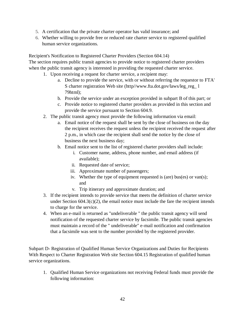- 5. A certification that the private charter operator has valid insurance; and
- 6. Whether willing to provide free or reduced rate charter service to registered qualified human service organizations.

Recipient's Notification to Registered Charter Providers (Section 604.14) The section requires public transit agencies to provide notice to registered charter providers when the public transit agency is interested in providing the requested charter service.

- 1. Upon receiving a request for charter service, a recipient may:
	- a. Decline to provide the service, with or without referring the requestor to FTA' S charter registration Web site (http/[/www.fta.dot.gov/laws/leg\\_reg\\_ l](http://www.fta.dot.gov/laws/leg_reg_) 79html);
	- b. Provide the service under an exception provided in subpart B of this part; or
	- c. Provide notice to registered charter providers as provided in this section and provide the service pursuant to Section 604.9.
- 2. The public transit agency must provide the following information via email:
	- a. Email notice of the request shall be sent by the close of business on the day the recipient receives the request unless the recipient received the request after 2 p.m., in which case the recipient shall send the notice by the close of business the next business day;
	- b. Email notice sent to the list of registered charter providers shall include:
		- i. Customer name, address, phone number, and email address (if available);
		- ii. Requested date of service;
		- iii. Approximate number of passengers;
		- iv. Whether the type of equipment requested is (are) bus(es) or van(s); and
		- v. Trip itinerary and approximate duration; and
- 3. If the recipient intends to provide service that meets the definition of charter service under Section  $604.3(c)(2)$ , the email notice must include the fare the recipient intends to charge for the service.
- 4. When an e-mail is returned as "undeliverable " the public transit agency will send notification of the requested charter service by facsimile. The public transit agencies must maintain a record of the " undeliverable" e-mail notification and confirmation that a facsimile was sent to the number provided by the registered provider.

Subpart D- Registration of Qualified Human Service Organizations and Duties for Recipients With Respect to Charter Registration Web site Section 604.15 Registration of qualified human service organizations.

1. Qualified Human Service organizations not receiving Federal funds must provide the following information: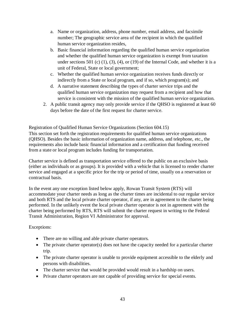- a. Name or organization, address, phone number, email address, and facsimile number; The geographic service area of the recipient in which the qualified human service organization resides,
- b. Basic financial information regarding the qualified human service organization and whether the qualified human service organization is exempt from taxation under sections 501 (c)  $(1)$ ,  $(3)$ ,  $(4)$ , or  $(19)$  of the Internal Code, and whether it is a unit of Federal, State or local government;
- c. Whether the qualified human service organization receives funds directly or indirectly from a State or local program, and if so, which program(s); and
- d. A narrative statement describing the types of charter service trips and the qualified human service organization may request from a recipient and how that service is consistent with the mission of the qualified human service organization.
- 2. A public transit agency may only provide service if the QHSO is registered at least 60 days before the date of the first request for charter service.

Registration of Qualified Human Service Organizations (Section 604.15)

This section set forth the registration requirements for qualified human service organizations (QHSO). Besides the basic information of organization name, address, and telephone, etc., the requirements also include basic financial information and a certification that funding received from a state or local program includes funding for transportation.

Charter service is defined as transportation service offered to the public on an exclusive basis (either as individuals or as groups). It is provided with a vehicle that is licensed to render charter service and engaged at a specific price for the trip or period of time, usually on a reservation or contractual basis.

In the event any one exception listed below apply, Rowan Transit System (RTS) will accommodate your charter needs as long as the charter times are incidental to our regular service and both RTS and the local private charter operator, if any, are in agreement to the charter being performed. In the unlikely event the local private charter operator is not in agreement with the charter being performed by RTS, RTS will submit the charter request in writing to the Federal Transit Administration, Region VI Administrator for approval.

## Exceptions:

- There are no willing and able private charter operators.
- The private charter operator(s) does not have the capacity needed for a particular charter trip.
- The private charter operator is unable to provide equipment accessible to the elderly and persons with disabilities.
- The charter service that would be provided would result in a hardship on users.
- Private charter operators are not capable of providing service for special events.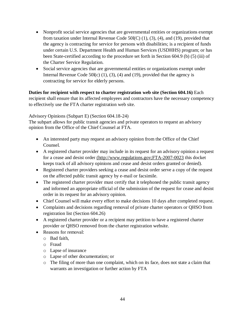- Nonprofit social service agencies that are governmental entities or organizations exempt from taxation under Internal Revenue Code 50l(C) (1), (3), (4), and (19), provided that the agency is contracting for service for persons with disabilities; is a recipient of funds under certain U.S. Department Health and Human Services (USDHHS) program; or has been State-certified according to the procedure set forth in Section 604.9 (b) (5) (iii) of the Charter Service Regulation.
- Social service agencies that are governmental entities or organizations exempt under Internal Revenue Code 50 $l(c)$  (1), (3), (4) and (19), provided that the agency is contracting for service for elderly persons.

## **Duties for recipient with respect to charter registration web site (Section 604.16)** Each recipient shall ensure that its affected employees and contractors have the necessary competency to effectively use the FTA charter registration web site.

## Advisory Opinions (Subpart E) (Section 604.18-24)

The subpart allows for public transit agencies and private operators to request an advisory opinion from the Office of the Chief Counsel at FTA.

- An interested party may request an advisory opinion from the Office of the Chief Counsel.
- A registered charter provider may include in its request for an advisory opinion a request for a cease and desist order (http://www.regulations.gov;FTA-2007-0023 this docket keeps track of all advisory opinions and cease and desist orders granted or denied).
- Registered charter providers seeking a cease and desist order serve a copy of the request on the affected public transit agency by e-mail or facsimile.
- The registered charter provider must certify that it telephoned the public transit agency and informed an appropriate official of the submission of the request for cease and desist order in its request for an advisory opinion.
- Chief Counsel will make every effort to make decisions 10 days after completed request.
- Complaints and decisions regarding removal of private charter operators or QHSO from registration list (Section 604.26)
- A registered charter provider or a recipient may petition to have a registered charter provider or QHSO removed from the charter registration website.
- Reasons for removal:
	- o Bad faith,
	- o Fraud
	- o Lapse of insurance
	- o Lapse of other documentation; or
	- o The filing of more than one complaint, which on its face, does not state a claim that warrants an investigation or further action by FTA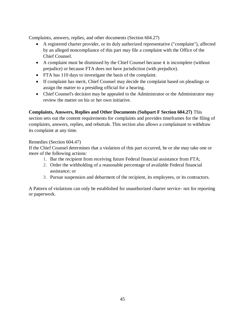Complaints, answers, replies, and other documents (Section 604.27)

- A registered charter provider, or its duly authorized representative ("complaint"), affected by an alleged noncompliance of this part may file a complaint with the Office of the Chief Counsel.
- A complaint must be dismissed by the Chief Counsel because it is incomplete (without prejudice) or because FTA does not have jurisdiction (with prejudice).
- FTA has 110 days to investigate the basis of the complaint.
- If complaint has merit, Chief Counsel may decide the complaint based on pleadings or assign the matter to a presiding official for a hearing.
- Chief Counsel's decision may be appealed to the Administrator or the Administrator may review the matter on his or her own initiative.

## **Complaints, Answers, Replies and Other Documents (Subpart F Section 604.27)** This

section sets out the content requirements for complaints and provides timeframes for the filing of complaints, answers, replies, and rebuttals. This section also allows a complainant to withdraw its complaint at any time.

#### Remedies (Section 604.47)

If the Chief Counsel determines that a violation of this part occurred, he or she may take one or more of the following actions:

- 1. Bar the recipient from receiving future Federal financial assistance from FTA;
- 2. Order the withholding of a reasonable percentage of available Federal financial assistance; or
- 3. Pursue suspension and debarment of the recipient, its employees, or its contractors.

A Pattern of violations can only be established for unauthorized charter service- not for reporting or paperwork.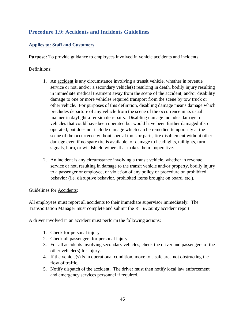# **Procedure 1.9: Accidents and Incidents Guidelines**

## **Applies to: Staff and Customers**

**Purpose:** To provide guidance to employees involved in vehicle accidents and incidents.

## Definitions:

- 1. An accident is any circumstance involving a transit vehicle, whether in revenue service or not, and/or a secondary vehicle(s) resulting in death, bodily injury resulting in immediate medical treatment away from the scene of the accident, and/or disability damage to one or more vehicles required transport from the scene by tow truck or other vehicle. For purposes of this definition, disabling damage means damage which precludes departure of any vehicle from the scene of the occurrence in its usual manner in daylight after simple repairs. Disabling damage includes damage to vehicles that could have been operated but would have been further damaged if so operated, but does not include damage which can be remedied temporarily at the scene of the occurrence without special tools or parts, tire disablement without other damage even if no spare tire is available, or damage to headlights, taillights, turn signals, horn, or windshield wipers that makes them inoperative.
- 2. An incident is any circumstance involving a transit vehicle, whether in revenue service or not, resulting in damage to the transit vehicle and/or property, bodily injury to a passenger or employee, or violation of any policy or procedure on prohibited behavior (i.e. disruptive behavior, prohibited items brought on board, etc.).

## Guidelines for Accidents:

All employees must report all accidents to their immediate supervisor immediately. The Transportation Manager must complete and submit the RTS/County accident report.

A driver involved in an accident must perform the following actions:

- 1. Check for personal injury.
- 2. Check all passengers for personal injury.
- 3. For all accidents involving secondary vehicles, check the driver and passengers of the other vehicle(s) for injury.
- 4. If the vehicle(s) is in operational condition, move to a safe area not obstructing the flow of traffic.
- 5. Notify dispatch of the accident. The driver must then notify local law enforcement and emergency services personnel if required.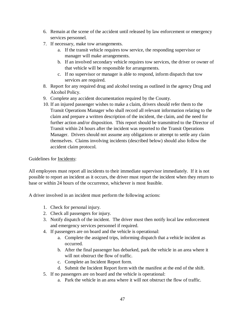- 6. Remain at the scene of the accident until released by law enforcement or emergency services personnel.
- 7. If necessary, make tow arrangements.
	- a. If the transit vehicle requires tow service, the responding supervisor or manager will make arrangements.
	- b. If an involved secondary vehicle requires tow services, the driver or owner of that vehicle will be responsible for arrangements.
	- c. If no supervisor or manager is able to respond, inform dispatch that tow services are required.
- 8. Report for any required drug and alcohol testing as outlined in the agency Drug and Alcohol Policy.
- 9. Complete any accident documentation required by the County.
- 10. If an injured passenger wishes to make a claim, drivers should refer them to the Transit Operations Manager who shall record all relevant information relating to the claim and prepare a written description of the incident, the claim, and the need for further action and/or disposition. This report should be transmitted to the Director of Transit within 24 hours after the incident was reported to the Transit Operations Manager. Drivers should not assume any obligations or attempt to settle any claim themselves. Claims involving incidents (described below) should also follow the accident claim protocol.

## Guidelines for Incidents:

All employees must report all incidents to their immediate supervisor immediately. If it is not possible to report an incident as it occurs, the driver must report the incident when they return to base or within 24 hours of the occurrence, whichever is most feasible.

A driver involved in an incident must perform the following actions:

- 1. Check for personal injury.
- 2. Check all passengers for injury.
- 3. Notify dispatch of the incident. The driver must then notify local law enforcement and emergency services personnel if required.
- 4. If passengers are on board and the vehicle is operational:
	- a. Complete the assigned trips, informing dispatch that a vehicle incident as occurred.
	- b. After the final passenger has debarked, park the vehicle in an area where it will not obstruct the flow of traffic.
	- c. Complete an Incident Report form.
	- d. Submit the Incident Report form with the manifest at the end of the shift.
- 5. If no passengers are on board and the vehicle is operational:
	- a. Park the vehicle in an area where it will not obstruct the flow of traffic.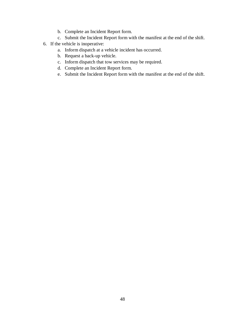- b. Complete an Incident Report form.
- c. Submit the Incident Report form with the manifest at the end of the shift.
- 6. If the vehicle is inoperative:
	- a. Inform dispatch at a vehicle incident has occurred.
	- b. Request a back-up vehicle.
	- c. Inform dispatch that tow services may be required.
	- d. Complete an Incident Report form.
	- e. Submit the Incident Report form with the manifest at the end of the shift.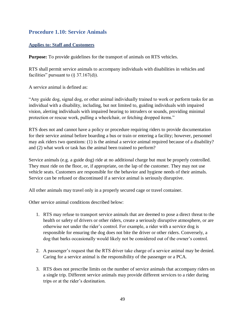## **Procedure 1.10: Service Animals**

## **Applies to: Staff and Customers**

**Purpose:** To provide guidelines for the transport of animals on RTS vehicles.

RTS shall permit service animals to accompany individuals with disabilities in vehicles and facilities" pursuant to  $(\S 37.167(d))$ .

A service animal is defined as:

"Any guide dog, signal dog, or other animal individually trained to work or perform tasks for an individual with a disability, including, but not limited to, guiding individuals with impaired vision, alerting individuals with impaired hearing to intruders or sounds, providing minimal protection or rescue work, pulling a wheelchair, or fetching dropped items."

RTS does not and cannot have a policy or procedure requiring riders to provide documentation for their service animal before boarding a bus or train or entering a facility; however, personnel may ask riders two questions: (1) is the animal a service animal required because of a disability? and (2) what work or task has the animal been trained to perform?

Service animals (e.g. a guide dog) ride at no additional charge but must be properly controlled. They must ride on the floor, or, if appropriate, on the lap of the customer. They may not use vehicle seats. Customers are responsible for the behavior and hygiene needs of their animals. Service can be refused or discontinued if a service animal is seriously disruptive.

All other animals may travel only in a properly secured cage or travel container.

Other service animal conditions described below:

- 1. RTS may refuse to transport service animals that are deemed to pose a direct threat to the health or safety of drivers or other riders, create a seriously disruptive atmosphere, or are otherwise not under the rider's control. For example, a rider with a service dog is responsible for ensuring the dog does not bite the driver or other riders. Conversely, a dog that barks occasionally would likely not be considered out of the owner's control.
- 2. A passenger's request that the RTS driver take charge of a service animal may be denied. Caring for a service animal is the responsibility of the passenger or a PCA.
- 3. RTS does not prescribe limits on the number of service animals that accompany riders on a single trip. Different service animals may provide different services to a rider during trips or at the rider's destination.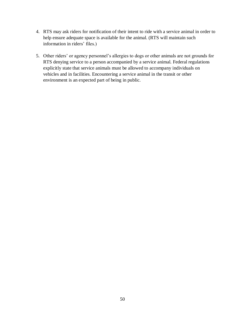- 4. RTS may ask riders for notification of their intent to ride with a service animal in order to help ensure adequate space is available for the animal. (RTS will maintain such information in riders' files.)
- 5. Other riders' or agency personnel's allergies to dogs or other animals are not grounds for RTS denying service to a person accompanied by a service animal. Federal regulations explicitly state that service animals must be allowed to accompany individuals on vehicles and in facilities. Encountering a service animal in the transit or other environment is an expected part of being in public.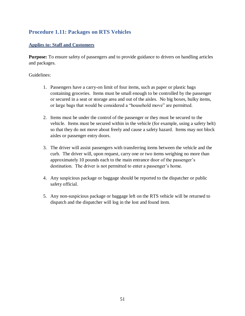# **Procedure 1.11: Packages on RTS Vehicles**

## **Applies to: Staff and Customers**

**Purpose:** To ensure safety of passengers and to provide guidance to drivers on handling articles and packages.

- 1. Passengers have a carry-on limit of four items, such as paper or plastic bags containing groceries. Items must be small enough to be controlled by the passenger or secured in a seat or storage area and out of the aisles. No big boxes, bulky items, or large bags that would be considered a "household move" are permitted.
- 2. Items must be under the control of the passenger or they must be secured to the vehicle. Items must be secured within in the vehicle (for example, using a safety belt) so that they do not move about freely and cause a safety hazard. Items may not block aisles or passenger entry doors.
- 3. The driver will assist passengers with transferring items between the vehicle and the curb. The driver will, upon request, carry one or two items weighing no more than approximately 10 pounds each to the main entrance door of the passenger's destination. The driver is not permitted to enter a passenger's home.
- 4. Any suspicious package or baggage should be reported to the dispatcher or public safety official.
- 5. Any non-suspicious package or baggage left on the RTS vehicle will be returned to dispatch and the dispatcher will log in the lost and found item.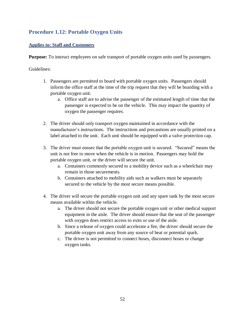# **Procedure 1.12: Portable Oxygen Units**

## **Applies to: Staff and Customers**

**Purpose:** To instruct employees on safe transport of portable oxygen units used by passengers.

- 1. Passengers are permitted to board with portable oxygen units. Passengers should inform the office staff at the time of the trip request that they will be boarding with a portable oxygen unit.
	- a. Office staff are to advise the passenger of the estimated length of time that the passenger is expected to be on the vehicle. This may impact the quantity of oxygen the passenger requires.
- 2. The driver should only transport oxygen maintained in accordance with the manufacturer's instructions. The instructions and precautions are usually printed on a label attached to the unit. Each unit should be equipped with a valve protection cap.
- 3. The driver must ensure that the portable oxygen unit is secured. "Secured" means the unit is not free to move when the vehicle is in motion. Passengers may hold the portable oxygen unit, or the driver will secure the unit.
	- a. Containers commonly secured to a mobility device such as a wheelchair may remain in those securements.
	- b. Containers attached to mobility aids such as walkers must be separately secured to the vehicle by the most secure means possible.
- 4. The driver will secure the portable oxygen unit and any spare tank by the most secure means available within the vehicle.
	- a. The driver should not secure the portable oxygen unit or other medical support equipment in the aisle. The driver should ensure that the seat of the passenger with oxygen does restrict access to exits or use of the aisle.
	- b. Since a release of oxygen could accelerate a fire, the driver should secure the portable oxygen unit away from any source of heat or potential spark.
	- c. The driver is not permitted to connect hoses, disconnect hoses or change oxygen tanks.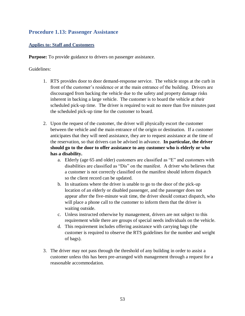## **Procedure 1.13: Passenger Assistance**

## **Applies to: Staff and Customers**

**Purpose:** To provide guidance to drivers on passenger assistance.

- 1. RTS provides door to door demand-response service. The vehicle stops at the curb in front of the customer's residence or at the main entrance of the building. Drivers are discouraged from backing the vehicle due to the safety and property damage risks inherent in backing a large vehicle. The customer is to board the vehicle at their scheduled pick-up time. The driver is required to wait no more than five minutes past the scheduled pick-up time for the customer to board.
- 2. Upon the request of the customer, the driver will physically escort the customer between the vehicle and the main entrance of the origin or destination. If a customer anticipates that they will need assistance, they are to request assistance at the time of the reservation, so that drivers can be advised in advance. **In particular, the driver should go to the door to offer assistance to any customer who is elderly or who has a disability.**
	- a. Elderly (age 65 and older) customers are classified as "E" and customers with disabilities are classified as "Dis" on the manifest. A driver who believes that a customer is not correctly classified on the manifest should inform dispatch so the client record can be updated.
	- b. In situations where the driver is unable to go to the door of the pick-up location of an elderly or disabled passenger, and the passenger does not appear after the five-minute wait time, the driver should contact dispatch, who will place a phone call to the customer to inform them that the driver is waiting outside.
	- c. Unless instructed otherwise by management, drivers are not subject to this requirement while there are groups of special needs individuals on the vehicle.
	- d. This requirement includes offering assistance with carrying bags (the customer is required to observe the RTS guidelines for the number and weight of bags).
- 3. The driver may not pass through the threshold of any building in order to assist a customer unless this has been pre-arranged with management through a request for a reasonable accommodation.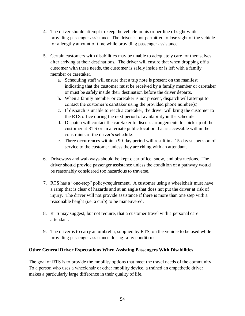- 4. The driver should attempt to keep the vehicle in his or her line of sight while providing passenger assistance. The driver is not permitted to lose sight of the vehicle for a lengthy amount of time while providing passenger assistance.
- 5. Certain customers with disabilities may be unable to adequately care for themselves after arriving at their destinations. The driver will ensure that when dropping off a customer with these needs, the customer is safely inside or is left with a family member or caretaker.
	- a. Scheduling staff will ensure that a trip note is present on the manifest indicating that the customer must be received by a family member or caretaker or must be safely inside their destination before the driver departs.
	- b. When a family member or caretaker is not present, dispatch will attempt to contact the customer's caretaker using the provided phone number(s).
	- c. If dispatch is unable to reach a caretaker, the driver will bring the customer to the RTS office during the next period of availability in the schedule.
	- d. Dispatch will contact the caretaker to discuss arrangements for pick-up of the customer at RTS or an alternate public location that is accessible within the constraints of the driver's schedule.
	- e. Three occurrences within a 90-day period will result in a 15-day suspension of service to the customer unless they are riding with an attendant.
- 6. Driveways and walkways should be kept clear of ice, snow, and obstructions. The driver should provide passenger assistance unless the condition of a pathway would be reasonably considered too hazardous to traverse.
- 7. RTS has a "one-step" policy/requirement. A customer using a wheelchair must have a ramp that is clear of hazards and at an angle that does not put the driver at risk of injury. The driver will not provide assistance if there is more than one step with a reasonable height (i.e. a curb) to be maneuvered.
- 8. RTS may suggest, but not require, that a customer travel with a personal care attendant.
- 9. The driver is to carry an umbrella, supplied by RTS, on the vehicle to be used while providing passenger assistance during rainy conditions.

## **Other General Driver Expectations When Assisting Passengers With Disabilities**

The goal of RTS is to provide the mobility options that meet the travel needs of the community. To a person who uses a wheelchair or other mobility device, a trained an empathetic driver makes a particularly large difference in their quality of life.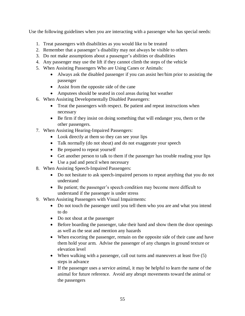Use the following guidelines when you are interacting with a passenger who has special needs:

- 1. Treat passengers with disabilities as you would like to be treated
- 2. Remember that a passenger's disability may not always be visible to others
- 3. Do not make assumptions about a passenger's abilities or disabilities
- 4. Any passenger may use the lift if they cannot climb the steps of the vehicle
- 5. When Assisting Passengers Who are Using Canes or Animals:
	- Always ask the disabled passenger if you can assist her/him prior to assisting the passenger
	- Assist from the opposite side of the cane
	- Amputees should be seated in cool areas during hot weather
- 6. When Assisting Developmentally Disabled Passengers:
	- Treat the passengers with respect. Be patient and repeat instructions when necessary
	- Be firm if they insist on doing something that will endanger you, them or the other passengers.
- 7. When Assisting Hearing-Impaired Passengers:
	- Look directly at them so they can see your lips
	- Talk normally (do not shout) and do not exaggerate your speech
	- Be prepared to repeat yourself
	- Get another person to talk to them if the passenger has trouble reading your lips
	- Use a pad and pencil when necessary
- 8. When Assisting Speech-Impaired Passengers:
	- Do not hesitate to ask speech-impaired persons to repeat anything that you do not understand
	- Be patient; the passenger's speech condition may become more difficult to understand if the passenger is under stress
- 9. When Assisting Passengers with Visual Impairments:
	- Do not touch the passenger until you tell them who you are and what you intend to do
	- Do not shout at the passenger
	- Before boarding the passenger, take their hand and show them the door openings as well as the seat and mention any hazards
	- When escorting the passenger, remain on the opposite side of their cane and have them hold your arm. Advise the passenger of any changes in ground texture or elevation level
	- When walking with a passenger, call out turns and maneuvers at least five (5) steps in advance
	- If the passenger uses a service animal, it may be helpful to learn the name of the animal for future reference. Avoid any abrupt movements toward the animal or the passengers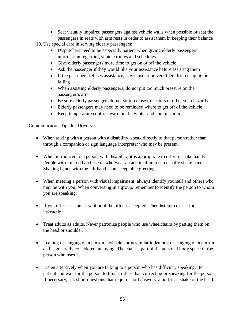• Seat visually impaired passengers against vehicle walls when possible or seat the passengers in seats with arm rests in order to assist them in keeping their balance

10. Use special care in serving elderly passengers:

- Dispatchers need to be especially patient when giving elderly passengers information regarding vehicle routes and schedules
- Give elderly passengers more time to get on or off the vehicle
- Ask the passenger if they would like your assistance before assisting them
- If the passenger refuses assistance, stay close to prevent them from tripping or falling
- When assisting elderly passengers, do not put too much pressure on the passenger's arm
- Be sure elderly passengers do not sit too close to heaters or other such hazards
- Elderly passengers may need to be reminded where to get off of the vehicle
- Keep temperature controls warm in the winter and cool in summer

Communication Tips for Drivers

- When talking with a person with a disability, speak directly to that person rather than through a companion or sign language interpreter who may be present.
- When introduced to a person with disability, it is appropriate to offer to shake hands. People with limited hand use or who wear an artificial limb can usually shake hands. Shaking hands with the left hand is an acceptable greeting.
- When meeting a person with visual impairment, always identify yourself and others who may be with you. When conversing in a group, remember to identify the person to whom you are speaking.
- If you offer assistance, wait until the offer is accepted. Then listen to or ask for instruction.
- Treat adults as adults. Never patronize people who use wheelchairs by patting them on the head or shoulder.
- Leaning or hanging on a person's wheelchair is similar to leaning or hanging on a person and is generally considered annoying. The chair is part of the personal body space of the person who uses it.
- Listen attentively when you are talking to a person who has difficulty speaking. Be patient and wait for the person to finish, rather than correcting or speaking for the person. If necessary, ask short questions that require short answers, a nod, or a shake of the head.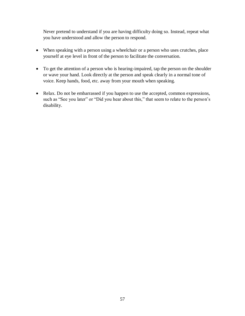Never pretend to understand if you are having difficulty doing so. Instead, repeat what you have understood and allow the person to respond.

- When speaking with a person using a wheelchair or a person who uses crutches, place yourself at eye level in front of the person to facilitate the conversation.
- To get the attention of a person who is hearing-impaired, tap the person on the shoulder or wave your hand. Look directly at the person and speak clearly in a normal tone of voice. Keep hands, food, etc. away from your mouth when speaking.
- Relax. Do not be embarrassed if you happen to use the accepted, common expressions, such as "See you later" or "Did you hear about this," that seem to relate to the person's disability.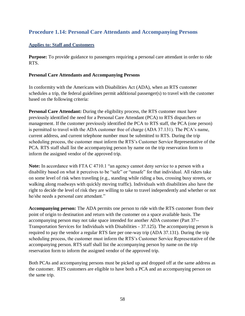## **Procedure 1.14: Personal Care Attendants and Accompanying Persons**

## **Applies to: Staff and Customers**

**Purpose:** To provide guidance to passengers requiring a personal care attendant in order to ride RTS.

#### **Personal Care Attendants and Accompanying Persons**

In conformity with the Americans with Disabilities Act (ADA), when an RTS customer schedules a trip, the federal guidelines permit additional passenger(s) to travel with the customer based on the following criteria:

**Personal Care Attendant:** During the eligibility process, the RTS customer must have previously identified the need for a Personal Care Attendant (PCA) to RTS dispatchers or management. If the customer previously identified the PCA to RTS staff, the PCA (one person) is permitted to travel with the ADA customer free of charge (ADA 37.131). The PCA's name, current address, and current telephone number must be submitted to RTS. During the trip scheduling process, the customer must inform the RTS's Customer Service Representative of the PCA. RTS staff shall list the accompanying person by name on the trip reservation form to inform the assigned vendor of the approved trip.

**Note:** In accordance with FTA C 4710.1 "an agency cannot deny service to a person with a disability based on what it perceives to be "safe" or "unsafe" for that individual. All riders take on some level of risk when traveling (e.g., standing while riding a bus, crossing busy streets, or walking along roadways with quickly moving traffic). Individuals with disabilities also have the right to decide the level of risk they are willing to take to travel independently and whether or not he/she needs a personal care attendant."

**Accompanying person:** The ADA permits one person to ride with the RTS customer from their point of origin to destination and return with the customer on a space available basis. The accompanying person may not take space intended for another ADA customer (Part 37-- Transportation Services for Individuals with Disabilities - 37.125). The accompanying person is required to pay the vendor a regular RTS fare per one-way trip (ADA 37.131). During the trip scheduling process, the customer must inform the RTS's Customer Service Representative of the accompanying person. RTS staff shall list the accompanying person by name on the trip reservation form to inform the assigned vendor of the approved trip.

Both PCAs and accompanying persons must be picked up and dropped off at the same address as the customer. RTS customers are eligible to have both a PCA and an accompanying person on the same trip.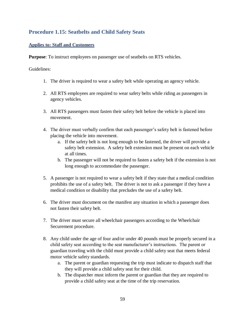# **Procedure 1.15: Seatbelts and Child Safety Seats**

## **Applies to: Staff and Customers**

**Purpose**: To instruct employees on passenger use of seatbelts on RTS vehicles.

- 1. The driver is required to wear a safety belt while operating an agency vehicle.
- 2. All RTS employees are required to wear safety belts while riding as passengers in agency vehicles.
- 3. All RTS passengers must fasten their safety belt before the vehicle is placed into movement.
- 4. The driver must verbally confirm that each passenger's safety belt is fastened before placing the vehicle into movement.
	- a. If the safety belt is not long enough to be fastened, the driver will provide a safety belt extension. A safety belt extension must be present on each vehicle at all times.
	- b. The passenger will not be required to fasten a safety belt if the extension is not long enough to accommodate the passenger.
- 5. A passenger is not required to wear a safety belt if they state that a medical condition prohibits the use of a safety belt. The driver is not to ask a passenger if they have a medical condition or disability that precludes the use of a safety belt.
- 6. The driver must document on the manifest any situation in which a passenger does not fasten their safety belt.
- 7. The driver must secure all wheelchair passengers according to the Wheelchair Securement procedure.
- 8. Any child under the age of four and/or under 40 pounds must be properly secured in a child safety seat according to the seat manufacturer's instructions. The parent or guardian traveling with the child must provide a child safety seat that meets federal motor vehicle safety standards.
	- a. The parent or guardian requesting the trip must indicate to dispatch staff that they will provide a child safety seat for their child.
	- b. The dispatcher must inform the parent or guardian that they are required to provide a child safety seat at the time of the trip reservation.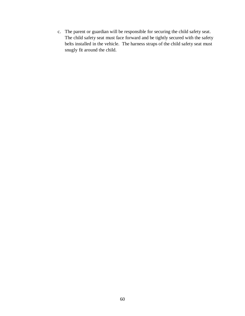c. The parent or guardian will be responsible for securing the child safety seat. The child safety seat must face forward and be tightly secured with the safety belts installed in the vehicle. The harness straps of the child safety seat must snugly fit around the child.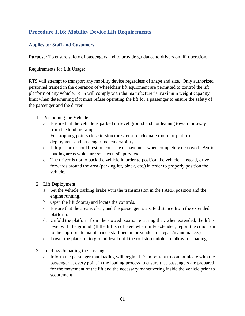# **Procedure 1.16: Mobility Device Lift Requirements**

## **Applies to: Staff and Customers**

**Purpose:** To ensure safety of passengers and to provide guidance to drivers on lift operation.

Requirements for Lift Usage:

RTS will attempt to transport any mobility device regardless of shape and size. Only authorized personnel trained in the operation of wheelchair lift equipment are permitted to control the lift platform of any vehicle. RTS will comply with the manufacturer's maximum weight capacity limit when determining if it must refuse operating the lift for a passenger to ensure the safety of the passenger and the driver.

- 1. Positioning the Vehicle
	- a. Ensure that the vehicle is parked on level ground and not leaning toward or away from the loading ramp.
	- b. For stopping points close to structures, ensure adequate room for platform deployment and passenger maneuverability.
	- c. Lift platform should rest on concrete or pavement when completely deployed. Avoid loading areas which are soft, wet, slippery, etc.
	- d. The driver is not to back the vehicle in order to position the vehicle. Instead, drive forwards around the area (parking lot, block, etc.) in order to properly position the vehicle.
- 2. Lift Deployment
	- a. Set the vehicle parking brake with the transmission in the PARK position and the engine running.
	- b. Open the lift door(s) and locate the controls.
	- c. Ensure that the area is clear, and the passenger is a safe distance from the extended platform.
	- d. Unfold the platform from the stowed position ensuring that, when extended, the lift is level with the ground. (If the lift is not level when fully extended, report the condition to the appropriate maintenance staff person or vendor for repair/maintenance.)
	- e. Lower the platform to ground level until the roll stop unfolds to allow for loading.
- 3. Loading/Unloading the Passenger
	- a. Inform the passenger that loading will begin. It is important to communicate with the passenger at every point in the loading process to ensure that passengers are prepared for the movement of the lift and the necessary maneuvering inside the vehicle prior to securement.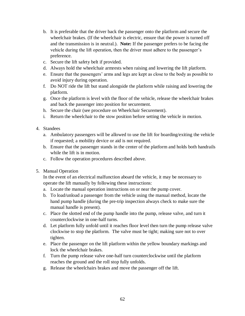- b. It is preferable that the driver back the passenger onto the platform and secure the wheelchair brakes. (If the wheelchair is electric, ensure that the power is turned off and the transmission is in neutral.). **Note:** If the passenger prefers to be facing the vehicle during the lift operation, then the driver must adhere to the passenger's preference.
- c. Secure the lift safety belt if provided.
- d. Always hold the wheelchair armrests when raising and lowering the lift platform.
- e. Ensure that the passengers' arms and legs are kept as close to the body as possible to avoid injury during operation.
- f. Do NOT ride the lift but stand alongside the platform while raising and lowering the platform.
- g. Once the platform is level with the floor of the vehicle, release the wheelchair brakes and back the passenger into position for securement.
- h. Secure the chair (see procedure on Wheelchair Securement).
- i. Return the wheelchair to the stow position before setting the vehicle in motion.
- 4. Standees
	- a. Ambulatory passengers will be allowed to use the lift for boarding/exiting the vehicle if requested; a mobility device or aid is not required.
	- b. Ensure that the passenger stands in the center of the platform and holds both handrails while the lift is in motion.
	- c. Follow the operation procedures described above.
- 5. Manual Operation

In the event of an electrical malfunction aboard the vehicle, it may be necessary to operate the lift manually by following these instructions:

- a. Locate the manual operation instructions on or near the pump cover.
- b. To load/unload a passenger from the vehicle using the manual method, locate the hand pump handle (during the pre-trip inspection always check to make sure the manual handle is present).
- c. Place the slotted end of the pump handle into the pump, release valve, and turn it counterclockwise in one-half turns.
- d. Let platform fully unfold until it reaches floor level then turn the pump release valve clockwise to stop the platform. The valve must be tight; making sure not to over tighten.
- e. Place the passenger on the lift platform within the yellow boundary markings and lock the wheelchair brakes.
- f. Turn the pump release valve one-half turn counterclockwise until the platform reaches the ground and the roll stop fully unfolds.
- g. Release the wheelchairs brakes and move the passenger off the lift.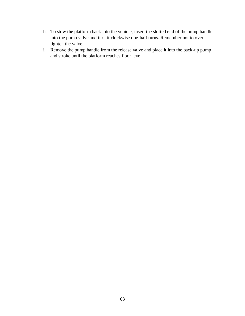- h. To stow the platform back into the vehicle, insert the slotted end of the pump handle into the pump valve and turn it clockwise one-half turns. Remember not to over tighten the valve.
- i. Remove the pump handle from the release valve and place it into the back-up pump and stroke until the platform reaches floor level.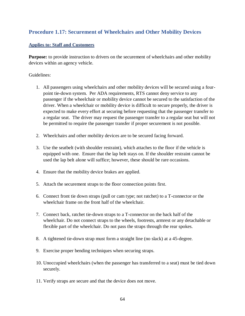## **Procedure 1.17: Securement of Wheelchairs and Other Mobility Devices**

## **Applies to: Staff and Customers**

**Purpose:** to provide instruction to drivers on the securement of wheelchairs and other mobility devices within an agency vehicle.

- 1. All passengers using wheelchairs and other mobility devices will be secured using a fourpoint tie-down system. Per ADA requirements, RTS cannot deny service to any passenger if the wheelchair or mobility device cannot be secured to the satisfaction of the driver. When a wheelchair or mobility device is difficult to secure properly, the driver is expected to make every effort at securing before requesting that the passenger transfer to a regular seat. The driver may request the passenger transfer to a regular seat but will not be permitted to require the passenger transfer if proper securement is not possible.
- 2. Wheelchairs and other mobility devices are to be secured facing forward.
- 3. Use the seatbelt (with shoulder restraint), which attaches to the floor if the vehicle is equipped with one. Ensure that the lap belt stays on. If the shoulder restraint cannot be used the lap belt alone will suffice; however, these should be rare occasions.
- 4. Ensure that the mobility device brakes are applied.
- 5. Attach the securement straps to the floor connection points first.
- 6. Connect front tie down straps (pull or cam type; not ratchet) to a T-connector or the wheelchair frame on the front half of the wheelchair.
- 7. Connect back, ratchet tie-down straps to a T-connector on the back half of the wheelchair. Do not connect straps to the wheels, footrests, armrest or any detachable or flexible part of the wheelchair. Do not pass the straps through the rear spokes.
- 8. A tightened tie-down strap must form a straight line (no slack) at a 45-degree.
- 9. Exercise proper bending techniques when securing straps.
- 10. Unoccupied wheelchairs (when the passenger has transferred to a seat) must be tied down securely.
- 11. Verify straps are secure and that the device does not move.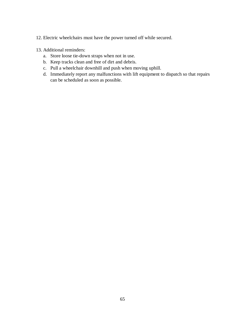- 12. Electric wheelchairs must have the power turned off while secured.
- 13. Additional reminders:
	- a. Store loose tie-down straps when not in use.
	- b. Keep tracks clean and free of dirt and debris.
	- c. Pull a wheelchair downhill and push when moving uphill.
	- d. Immediately report any malfunctions with lift equipment to dispatch so that repairs can be scheduled as soon as possible.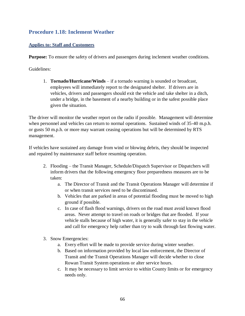## **Procedure 1.18: Inclement Weather**

## **Applies to: Staff and Customers**

**Purpose:** To ensure the safety of drivers and passengers during inclement weather conditions.

Guidelines:

1. **Tornado/Hurricane/Winds** – if a tornado warning is sounded or broadcast, employees will immediately report to the designated shelter. If drivers are in vehicles, drivers and passengers should exit the vehicle and take shelter in a ditch, under a bridge, in the basement of a nearby building or in the safest possible place given the situation.

The driver will monitor the weather report on the radio if possible. Management will determine when personnel and vehicles can return to normal operations. Sustained winds of 35-40 m.p.h. or gusts 50 m.p.h. or more may warrant ceasing operations but will be determined by RTS management.

If vehicles have sustained any damage from wind or blowing debris, they should be inspected and repaired by maintenance staff before resuming operation.

- 2. Flooding the Transit Manager, Schedule/Dispatch Supervisor or Dispatchers will inform drivers that the following emergency floor preparedness measures are to be taken:
	- a. The Director of Transit and the Transit Operations Manager will determine if or when transit services need to be discontinued.
	- b. Vehicles that are parked in areas of potential flooding must be moved to high ground if possible.
	- c. In case of flash flood warnings, drivers on the road must avoid known flood areas. Never attempt to travel on roads or bridges that are flooded. If your vehicle stalls because of high water, it is generally safer to stay in the vehicle and call for emergency help rather than try to walk through fast flowing water.
- 3. Snow Emergencies:
	- a. Every effort will be made to provide service during winter weather.
	- b. Based on information provided by local law enforcement, the Director of Transit and the Transit Operations Manager will decide whether to close Rowan Transit System operations or alter service hours.
	- c. It may be necessary to limit service to within County limits or for emergency needs only.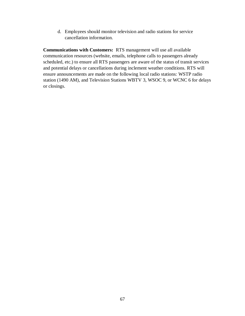d. Employees should monitor television and radio stations for service cancellation information.

**Communications with Customers:** RTS management will use all available communication resources (website, emails, telephone calls to passengers already scheduled, etc.) to ensure all RTS passengers are aware of the status of transit services and potential delays or cancellations during inclement weather conditions. RTS will ensure announcements are made on the following local radio stations: WSTP radio station (1490 AM), and Television Stations WBTV 3, WSOC 9, or WCNC 6 for delays or closings.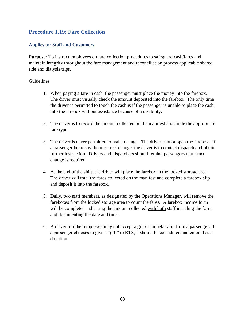## **Procedure 1.19: Fare Collection**

## **Applies to: Staff and Customers**

**Purpose:** To instruct employees on fare collection procedures to safeguard cash/fares and maintain integrity throughout the fare management and reconciliation process applicable shared ride and dialysis trips.

- 1. When paying a fare in cash, the passenger must place the money into the farebox. The driver must visually check the amount deposited into the farebox. The only time the driver is permitted to touch the cash is if the passenger is unable to place the cash into the farebox without assistance because of a disability.
- 2. The driver is to record the amount collected on the manifest and circle the appropriate fare type.
- 3. The driver is never permitted to make change. The driver cannot open the farebox. If a passenger boards without correct change, the driver is to contact dispatch and obtain further instruction. Drivers and dispatchers should remind passengers that exact change is required.
- 4. At the end of the shift, the driver will place the farebox in the locked storage area. The driver will total the fares collected on the manifest and complete a farebox slip and deposit it into the farebox.
- 5. Daily, two staff members, as designated by the Operations Manager, will remove the fareboxes from the locked storage area to count the fares. A farebox income form will be completed indicating the amount collected with both staff initialing the form and documenting the date and time.
- 6. A driver or other employee may not accept a gift or monetary tip from a passenger. If a passenger chooses to give a "gift" to RTS, it should be considered and entered as a donation.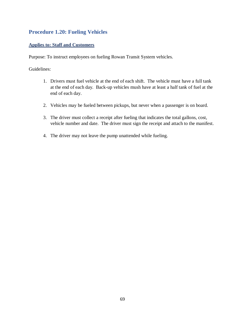## **Procedure 1.20: Fueling Vehicles**

## **Applies to: Staff and Customers**

Purpose: To instruct employees on fueling Rowan Transit System vehicles.

- 1. Drivers must fuel vehicle at the end of each shift. The vehicle must have a full tank at the end of each day. Back-up vehicles mush have at least a half tank of fuel at the end of each day.
- 2. Vehicles may be fueled between pickups, but never when a passenger is on board.
- 3. The driver must collect a receipt after fueling that indicates the total gallons, cost, vehicle number and date. The driver must sign the receipt and attach to the manifest.
- 4. The driver may not leave the pump unattended while fueling.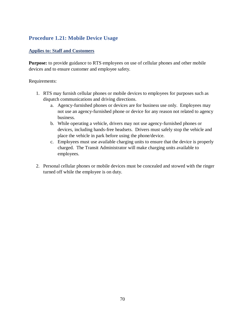# **Procedure 1.21: Mobile Device Usage**

## **Applies to: Staff and Customers**

**Purpose:** to provide guidance to RTS employees on use of cellular phones and other mobile devices and to ensure customer and employee safety.

#### Requirements:

- 1. RTS may furnish cellular phones or mobile devices to employees for purposes such as dispatch communications and driving directions.
	- a. Agency-furnished phones or devices are for business use only. Employees may not use an agency-furnished phone or device for any reason not related to agency business.
	- b. While operating a vehicle, drivers may not use agency-furnished phones or devices, including hands-free headsets. Drivers must safely stop the vehicle and place the vehicle in park before using the phone/device.
	- c. Employees must use available charging units to ensure that the device is properly charged. The Transit Administrator will make charging units available to employees.
- 2. Personal cellular phones or mobile devices must be concealed and stowed with the ringer turned off while the employee is on duty.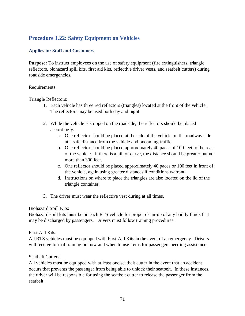# **Procedure 1.22: Safety Equipment on Vehicles**

## **Applies to: Staff and Customers**

**Purpose:** To instruct employees on the use of safety equipment (fire extinguishers, triangle reflectors, biohazard spill kits, first aid kits, reflective driver vests, and seatbelt cutters) during roadside emergencies.

#### Requirements:

Triangle Reflectors:

- 1. Each vehicle has three red reflectors (triangles) located at the front of the vehicle. The reflectors may be used both day and night.
- 2. While the vehicle is stopped on the roadside, the reflectors should be placed accordingly:
	- a. One reflector should be placed at the side of the vehicle on the roadway side at a safe distance from the vehicle and oncoming traffic
	- b. One reflector should be placed approximately 40 paces of 100 feet to the rear of the vehicle. If there is a hill or curve, the distance should be greater but no more than 300 feet.
	- c. One reflector should be placed approximately 40 paces or 100 feet in front of the vehicle, again using greater distances if conditions warrant.
	- d. Instructions on where to place the triangles are also located on the lid of the triangle container.
- 3. The driver must wear the reflective vest during at all times.

## Biohazard Spill Kits:

Biohazard spill kits must be on each RTS vehicle for proper clean-up of any bodily fluids that may be discharged by passengers. Drivers must follow training procedures.

## First Aid Kits:

All RTS vehicles must be equipped with First Aid Kits in the event of an emergency. Drivers will receive formal training on how and when to use items for passengers needing assistance.

## Seatbelt Cutters:

All vehicles must be equipped with at least one seatbelt cutter in the event that an accident occurs that prevents the passenger from being able to unlock their seatbelt. In these instances, the driver will be responsible for using the seatbelt cutter to release the passenger from the seatbelt.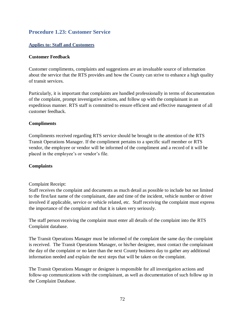## **Procedure 1.23: Customer Service**

## **Applies to: Staff and Customers**

#### **Customer Feedback**

Customer compliments, complaints and suggestions are an invaluable source of information about the service that the RTS provides and how the County can strive to enhance a high quality of transit services.

Particularly, it is important that complaints are handled professionally in terms of documentation of the complaint, prompt investigative actions, and follow up with the complainant in an expeditious manner. RTS staff is committed to ensure efficient and effective management of all customer feedback.

#### **Compliments**

Compliments received regarding RTS service should be brought to the attention of the RTS Transit Operations Manager. If the compliment pertains to a specific staff member or RTS vendor, the employee or vendor will be informed of the compliment and a record of it will be placed in the employee's or vendor's file.

#### **Complaints**

#### Complaint Receipt:

Staff receives the complaint and documents as much detail as possible to include but not limited to the first/last name of the complainant, date and time of the incident, vehicle number or driver involved if applicable, service or vehicle related, etc. Staff receiving the complaint must express the importance of the complaint and that it is taken very seriously.

The staff person receiving the complaint must enter all details of the complaint into the RTS Complaint database.

The Transit Operations Manager must be informed of the complaint the same day the complaint is received. The Transit Operations Manager, or his/her designee, must contact the complainant the day of the complaint or no later than the next County business day to gather any additional information needed and explain the next steps that will be taken on the complaint.

The Transit Operations Manager or designee is responsible for all investigation actions and follow-up communications with the complainant, as well as documentation of such follow up in the Complaint Database.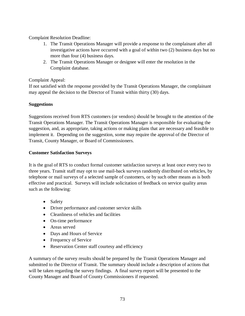Complaint Resolution Deadline:

- 1. The Transit Operations Manager will provide a response to the complainant after all investigative actions have occurred with a goal of within two (2) business days but no more than four (4) business days.
- 2. The Transit Operations Manager or designee will enter the resolution in the Complaint database.

## Complaint Appeal:

If not satisfied with the response provided by the Transit Operations Manager, the complainant may appeal the decision to the Director of Transit within thirty (30) days.

## **Suggestions**

Suggestions received from RTS customers (or vendors) should be brought to the attention of the Transit Operations Manager. The Transit Operations Manager is responsible for evaluating the suggestion, and, as appropriate, taking actions or making plans that are necessary and feasible to implement it. Depending on the suggestion, some may require the approval of the Director of Transit, County Manager, or Board of Commissioners.

## **Customer Satisfaction Surveys**

It is the goal of RTS to conduct formal customer satisfaction surveys at least once every two to three years. Transit staff may opt to use mail-back surveys randomly distributed on vehicles, by telephone or mail surveys of a selected sample of customers, or by such other means as is both effective and practical. Surveys will include solicitation of feedback on service quality areas such as the following:

- Safety
- Driver performance and customer service skills
- Cleanliness of vehicles and facilities
- On-time performance
- Areas served
- Days and Hours of Service
- Frequency of Service
- Reservation Center staff courtesy and efficiency

A summary of the survey results should be prepared by the Transit Operations Manager and submitted to the Director of Transit. The summary should include a description of actions that will be taken regarding the survey findings. A final survey report will be presented to the County Manager and Board of County Commissioners if requested.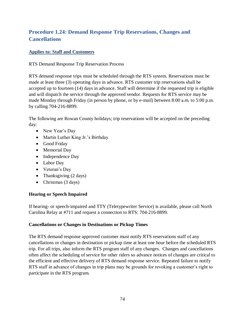# **Procedure 1.24: Demand Response Trip Reservations, Changes and Cancellations**

## **Applies to: Staff and Customers**

RTS Demand Response Trip Reservation Process

RTS demand response trips must be scheduled through the RTS system. Reservations must be made at least three (3) operating days in advance. RTS customer trip reservations shall be accepted up to fourteen (14) days in advance. Staff will determine if the requested trip is eligible and will dispatch the service through the approved vendor. Requests for RTS service may be made Monday through Friday (in person by phone, or by e-mail) between 8:00 a.m. to 5:00 p.m. by calling 704-216-8899.

The following are Rowan County holidays; trip reservations will be accepted on the preceding day:

- New Year's Day
- Martin Luther King Jr.'s Birthday
- Good Friday
- Memorial Day
- Independence Day
- Labor Day
- Veteran's Day
- Thanksgiving (2 days)
- Christmas (3 days)

## **Hearing or Speech Impaired**

If hearing- or speech-impaired and TTY (Teletypewriter Service) is available, please call North Carolina Relay at #711 and request a connection to RTS: 704-216-8899.

#### **Cancellations or Changes in Destinations or Pickup Times**

The RTS demand response approved customer must notify RTS reservations staff of any cancellations or changes in destination or pickup time at least one hour before the scheduled RTS trip. For all trips, also inform the RTS program staff of any changes. Changes and cancellations often affect the scheduling of service for other riders so advance notices of changes are critical to the efficient and effective delivery of RTS demand response service. Repeated failure to notify RTS staff in advance of changes in trip plans may be grounds for revoking a customer's right to participate in the RTS program.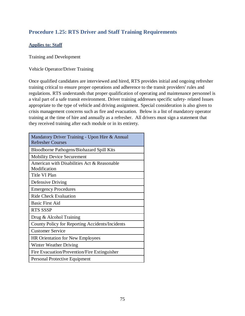## **Procedure 1.25: RTS Driver and Staff Training Requirements**

## **Applies to: Staff**

Training and Development

Vehicle Operator/Driver Training

Once qualified candidates are interviewed and hired, RTS provides initial and ongoing refresher training critical to ensure proper operations and adherence to the transit providers' rules and regulations. RTS understands that proper qualification of operating and maintenance personnel is a vital part of a safe transit environment. Driver training addresses specific safety- related Issues appropriate to the type of vehicle and driving assignment. Special consideration is also given to crisis management concerns such as fire and evacuation. Below is a list of mandatory operator training at the time of hire and annually as a refresher. All drivers must sign a statement that they received training after each module or in its entirety.

| Mandatory Driver Training - Upon Hire & Annual<br><b>Refresher Courses</b> |
|----------------------------------------------------------------------------|
| Bloodborne Pathogens/Biohazard Spill Kits                                  |
| <b>Mobility Device Securement</b>                                          |
| American with Disabilities Act & Reasonable<br>Modification                |
| Title VI Plan                                                              |
| Defensive Driving                                                          |
| <b>Emergency Procedures</b>                                                |
| <b>Ride Check Evaluation</b>                                               |
| <b>Basic First Aid</b>                                                     |
| <b>RTS SSSP</b>                                                            |
| Drug $&$ Alcohol Training                                                  |
| County Policy for Reporting Accidents/Incidents                            |
| <b>Customer Service</b>                                                    |
| <b>HR Orientation for New Employees</b>                                    |
| Winter Weather Driving                                                     |
| Fire Evacuation/Prevention/Fire Extinguisher                               |
| Personal Protective Equipment                                              |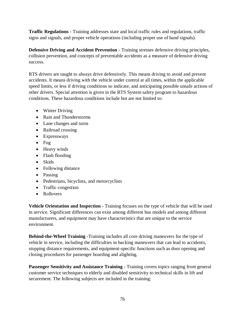**Traffic Regulations** - Training addresses state and local traffic rules and regulations, traffic signs and signals, and proper vehicle operations (including proper use of hand signals).

**Defensive Driving and Accident Prevention** - Training stresses defensive driving principles, collision prevention, and concepts of preventable accidents as a measure of defensive driving success.

RTS drivers are taught to always drive defensively. This means driving to avoid and prevent accidents. It means driving with the vehicle under control at all times, within the applicable speed limits, or less if driving conditions so indicate, and anticipating possible unsafe actions of other drivers. Special attention is given in the RTS System safety program to hazardous conditions. These hazardous conditions include but are not limited to:

- Winter Driving
- Rain and Thunderstorms
- Lane changes and turns
- Railroad crossing
- Expressways
- Fog
- Heavy winds
- Flash flooding
- Skids
- Following distance
- Passing
- Pedestrians, bicyclists, and motorcyclists
- Traffic congestion
- Rollovers

**Vehicle Orientation and Inspection** - Training focuses on the type of vehicle that will be used in service. Significant differences can exist among different bus models and among different manufacturers, and equipment may have characteristics that are unique to the service environment.

**Behind-the-Wheel Training** -Training includes all core driving maneuvers for the type of vehicle in service, including the difficulties in backing maneuvers that can lead to accidents, stopping distance requirements, and equipment-specific functions such as door opening and closing procedures for passenger boarding and alighting.

Passenger Sensitivity and Assistance Training - Training covers topics ranging from general customer service techniques to elderly and disabled sensitivity to technical skills in lift and securement. The following subjects are included in the training: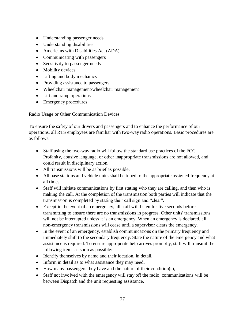- Understanding passenger needs
- Understanding disabilities
- Americans with Disabilities Act (ADA)
- Communicating with passengers
- Sensitivity to passenger needs
- Mobility devices
- Lifting and body mechanics
- Providing assistance to passengers
- Wheelchair management/wheelchair management
- Lift and ramp operations
- Emergency procedures

Radio Usage or Other Communication Devices

To ensure the safety of our drivers and passengers and to enhance the performance of our operations, all RTS employees are familiar with two-way radio operations. Basic procedures are as follows:

- Staff using the two-way radio will follow the standard use practices of the FCC. Profanity, abusive language, or other inappropriate transmissions are not allowed, and could result in disciplinary action.
- All transmissions will be as brief as possible.
- All base stations and vehicle units shall be tuned to the appropriate assigned frequency at all times.
- Staff will initiate communications by first stating who they are calling, and then who is making the call. At the completion of the transmission both parties will indicate that the transmission is completed by stating their call sign and "clear".
- Except in the event of an emergency, all staff will listen for five seconds before transmitting to ensure there are no transmissions in progress. Other units' transmissions will not be interrupted unless it is an emergency. When an emergency is declared, all non-emergency transmissions will cease until a supervisor clears the emergency.
- In the event of an emergency, establish communications on the primary frequency and immediately shift to the secondary frequency. State the nature of the emergency and what assistance is required. To ensure appropriate help arrives promptly, staff will transmit the following items as soon as possible:
- Identify themselves by name and their location, in detail,
- Inform in detail as to what assistance they may need,
- How many passengers they have and the nature of their condition(s),
- Staff not involved with the emergency will stay off the radio; communications will be between Dispatch and the unit requesting assistance.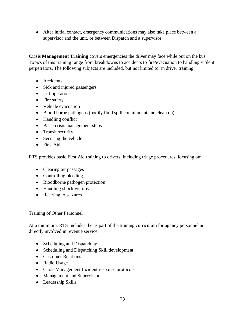• After initial contact, emergency communications may also take place between a supervisor and the unit, or between Dispatch and a supervisor.

**Crisis Management Training** covers emergencies the driver may face while out on the bus. Topics of this training range from breakdowns to accidents to fire/evacuation to handling violent perpetrators. The following subjects are included, but not limited to, in driver training:

- Accidents
- Sick and injured passengers
- Lift operations
- Fire safety
- Vehicle evacuation
- Blood borne pathogens (bodily fluid spill containment and clean up)
- Handling conflict
- Basic crisis management steps
- Transit security
- Securing the vehicle
- First Aid

RTS provides basic First Aid training to drivers, including triage procedures, focusing on:

- Clearing air passages
- Controlling bleeding
- Bloodborne pathogen protection
- Handling shock victims
- Reacting to seizures

Training of Other Personnel

At a minimum, RTS Includes the as part of the training curriculum for agency personnel not directly involved in revenue service:

- Scheduling and Dispatching
- Scheduling and Dispatching Skill development
- Customer Relations
- Radio Usage
- Crisis Management Incident response protocols
- Management and Supervision
- Leadership Skills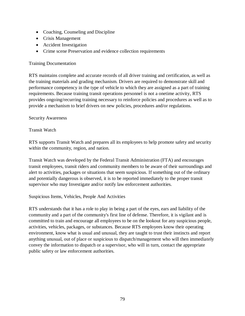- Coaching, Counseling and Discipline
- Crisis Management
- Accident Investigation
- Crime scene Preservation and evidence collection requirements

#### Training Documentation

RTS maintains complete and accurate records of all driver training and certification, as well as the training materials and grading mechanism. Drivers are required to demonstrate skill and performance competency in the type of vehicle to which they are assigned as a part of training requirements. Because training transit operations personnel is not a onetime activity, RTS provides ongoing/recurring training necessary to reinforce policies and procedures as well as to provide a mechanism to brief drivers on new policies, procedures and/or regulations.

#### Security Awareness

#### Transit Watch

RTS supports Transit Watch and prepares all its employees to help promote safety and security within the community, region, and nation.

Transit Watch was developed by the Federal Transit Administration (FTA) and encourages transit employees, transit riders and community members to be aware of their surroundings and alert to activities, packages or situations that seem suspicious. If something out of the ordinary and potentially dangerous is observed, it is to be reported immediately to the proper transit supervisor who may Investigate and/or notify law enforcement authorities.

#### Suspicious Items, Vehicles, People And Activities

RTS understands that it has a role to play in being a part of the eyes, ears and liability of the community and a part of the community's first line of defense. Therefore, it is vigilant and is committed to train and encourage all employees to be on the lookout for any suspicious people, activities, vehicles, packages, or substances. Because RTS employees know their operating environment, know what is usual and unusual, they are taught to trust their instincts and report anything unusual, out of place or suspicious to dispatch/management who will then immediately convey the information to dispatch or a supervisor, who will in turn, contact the appropriate public safety or law enforcement authorities.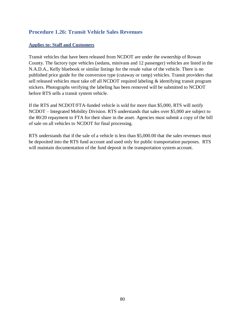## **Procedure 1.26: Transit Vehicle Sales Revenues**

#### **Applies to: Staff and Customers**

Transit vehicles that have been released from NCDOT are under the ownership of Rowan County. The factory type vehicles (sedans, minivans and 12 passenger) vehicles are listed in the N.A.D.A., Kelly bluebook or similar listings for the resale value of the vehicle. There is no published price guide for the conversion type (cutaway or ramp) vehicles. Transit providers that sell released vehicles must take off all NCDOT required labeling & identifying transit program stickers. Photographs verifying the labeling has been removed will be submitted to NCDOT before RTS sells a transit system vehicle.

If the RTS and NCDOT/FTA-funded vehicle is sold for more than \$5,000, RTS will notify NCDOT – Integrated Mobility Division. RTS understands that sales over \$5,000 are subject to the 80/20 repayment to FTA for their share in the asset. Agencies must submit a copy of the bill of sale on all vehicles to NCDOT for final processing.

RTS understands that if the sale of a vehicle is less than \$5,000.00 that the sales revenues must be deposited into the RTS fund account and used only for public transportation purposes. RTS will maintain documentation of the fund deposit in the transportation system account.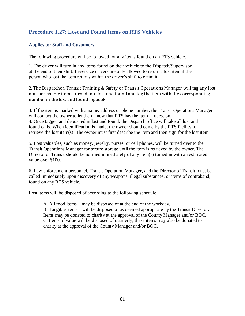## **Procedure 1.27: Lost and Found Items on RTS Vehicles**

## **Applies to: Staff and Customers**

The following procedure will be followed for any items found on an RTS vehicle.

1. The driver will turn in any items found on their vehicle to the Dispatch/Supervisor at the end of their shift. In-service drivers are only allowed to return a lost item if the person who lost the item returns within the driver's shift to claim it.

2. The Dispatcher, Transit Training & Safety or Transit Operations Manager will tag any lost non-perishable items turned into lost and found and log the item with the corresponding number in the lost and found logbook.

3. If the item is marked with a name, address or phone number, the Transit Operations Manager will contact the owner to let them know that RTS has the item in question. 4. Once tagged and deposited in lost and found, the Dispatch office will take all lost and found calls. When identification is made, the owner should come by the RTS facility to retrieve the lost item(s). The owner must first describe the item and then sign for the lost item.

5. Lost valuables, such as money, jewelry, purses, or cell phones, will be turned over to the Transit Operations Manager for secure storage until the item is retrieved by the owner. The Director of Transit should be notified immediately of any item(s) turned in with an estimated value over \$100.

6. Law enforcement personnel, Transit Operation Manager, and the Director of Transit must be called immediately upon discovery of any weapons, illegal substances, or items of contraband, found on any RTS vehicle.

Lost items will be disposed of according to the following schedule:

A. All food items – may be disposed of at the end of the workday. B. Tangible items – will be disposed of as deemed appropriate by the Transit Director. Items may be donated to charity at the approval of the County Manager and/or BOC. C. Items of value will be disposed of quarterly; these items may also be donated to charity at the approval of the County Manager and/or BOC.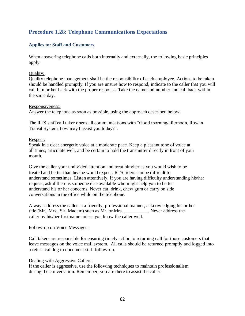## **Procedure 1.28: Telephone Communications Expectations**

## **Applies to: Staff and Customers**

When answering telephone calls both internally and externally, the following basic principles apply:

#### Quality:

Quality telephone management shall be the responsibility of each employee. Actions to be taken should be handled promptly. If you are unsure how to respond, indicate to the caller that you will call him or her back with the proper response. Take the name and number and call back within the same day.

#### Responsiveness:

Answer the telephone as soon as possible, using the approach described below:

The RTS staff call taker opens all communications with "Good morning/afternoon, Rowan Transit System, how may I assist you today?".

#### Respect:

Speak in a clear energetic voice at a moderate pace. Keep a pleasant tone of voice at all times, articulate well, and be certain to hold the transmitter directly in front of your mouth.

Give the caller your undivided attention and treat him/her as you would wish to be treated and better than he/she would expect. RTS riders can be difficult to understand sometimes. Listen attentively. If you are having difficulty understanding his/her request, ask if there is someone else available who might help you to better understand his or her concerns. Never eat, drink, chew gum or carry on side conversations in the office while on the telephone.

Always address the caller in a friendly, professional manner, acknowledging his or her title (Mr., Mrs., Sir, Madam) such as Mr. or Mrs. Never address the caller by his/her first name unless you know the caller well.

#### Follow-up on Voice Messages:

Call takers are responsible for ensuring timely action to returning call for those customers that leave messages on the voice mail system. All calls should be returned promptly and logged into a return call log to document staff follow-up.

#### Dealing with Aggressive Callers:

If the caller is aggressive, use the following techniques to maintain professionalism during the conversation. Remember, you are there to assist the caller.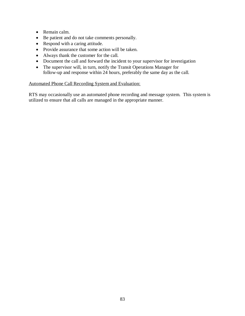- Remain calm.
- Be patient and do not take comments personally.
- Respond with a caring attitude.
- Provide assurance that some action will be taken.
- Always thank the customer for the call.
- Document the call and forward the incident to your supervisor for investigation
- The supervisor will, in turn, notify the Transit Operations Manager for follow-up and response within 24 hours, preferably the same day as the call.

#### Automated Phone Call Recording System and Evaluation:

RTS may occasionally use an automated phone recording and message system. This system is utilized to ensure that all calls are managed in the appropriate manner.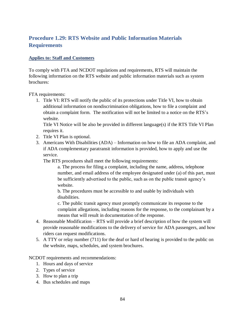# **Procedure 1.29: RTS Website and Public Information Materials Requirements**

### **Applies to: Staff and Customers**

To comply with FTA and NCDOT regulations and requirements, RTS will maintain the following information on the RTS website and public information materials such as system brochures:

FTA requirements:

1. Title VI: RTS will notify the public of its protections under Title VI, how to obtain additional information on nondiscrimination obligations, how to file a complaint and obtain a complaint form. The notification will not be limited to a notice on the RTS's website.

Title VI Notice will be also be provided in different language(s) if the RTS Title VI Plan requires it.

- 2. Title VI Plan is optional.
- 3. Americans With Disabilities (ADA) Information on how to file an ADA complaint, and if ADA complementary paratransit information is provided, how to apply and use the service.

The RTS procedures shall meet the following requirements:

a. The process for filing a complaint, including the name, address, telephone number, and email address of the employee designated under (a) of this part, must be sufficiently advertised to the public, such as on the public transit agency's website.

b. The procedures must be accessible to and usable by individuals with disabilities.

c. The public transit agency must promptly communicate its response to the complaint allegations, including reasons for the response, to the complainant by a means that will result in documentation of the response.

- 4. Reasonable Modification RTS will provide a brief description of how the system will provide reasonable modifications to the delivery of service for ADA passengers, and how riders can request modifications.
- 5. A TTY or relay number (711) for the deaf or hard of hearing is provided to the public on the website, maps, schedules, and system brochures.

NCDOT requirements and recommendations:

- 1. Hours and days of service
- 2. Types of service
- 3. How to plan a trip
- 4. Bus schedules and maps